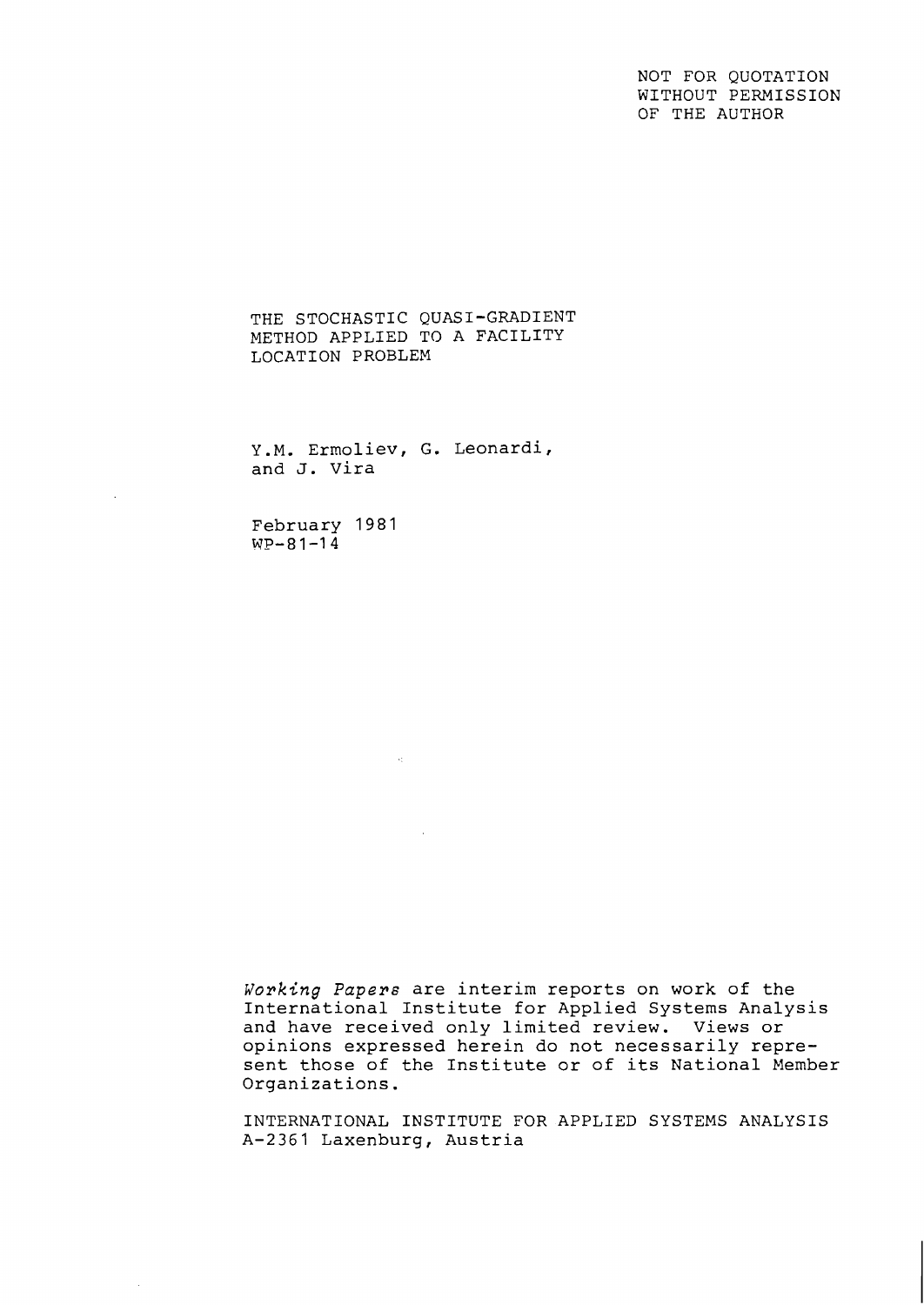NOT FOR QUOTATION WITHOUT PERMISSION OF THE AUTHOR

THE STOCHASTIC QUASI-GRADIENT METHOD APPLIED TO A FACILITY LOCATION PROBLEM

Y.M. Ermoliev, G. Leonardi, and J. Vira

 $\mathcal{A}_{\mathcal{L}}$ 

February **1981 WP-81-14** 

 $\bar{\mathcal{A}}$ 

Working Papers are interim reports on work of the International Institute for Applied Systems Analysis and have received only limited review. Views or opinions expressed herein do not necessarily represent those of the Institute or of its National Member Organizations.

INTERNATIONAL INSTITUTE FOR APPLIED SYSTEMS ANALYSIS A-2361 Laxenburg, Austria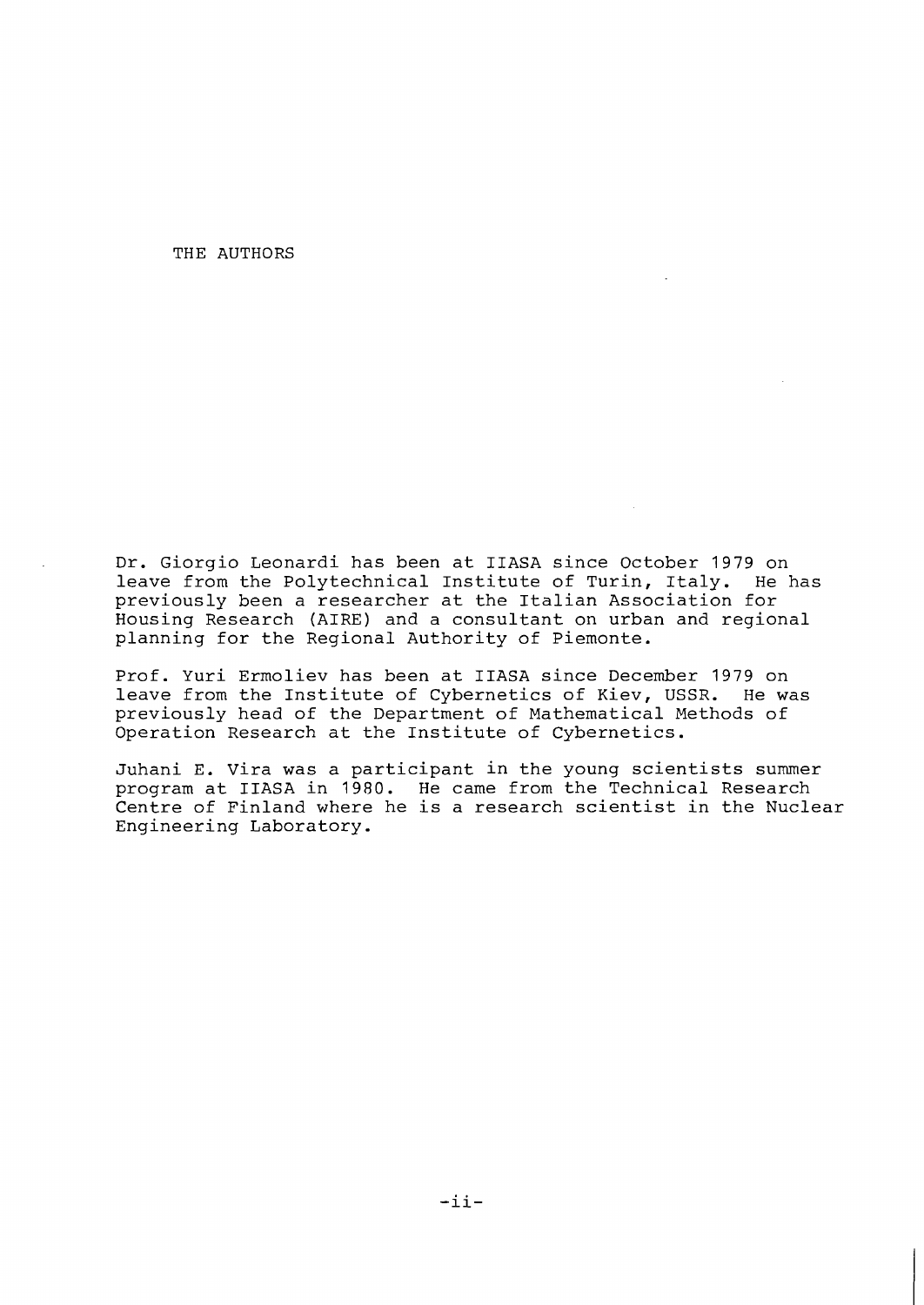THE AUTHORS

Dr. Giorgio Leonardi has been at IIASA since October 1979 on leave from the Polytechnical Institute of Turin, Italy. He has previously been a researcher at the Italian Association for Housing Research (AIRE) and a consultant on urban and regional planning for the Regional Authority of Piemonte.

Prof. Yuri Ermoliev has been at IIASA since December 1979 on leave from the Institute of Cybernetics of Kiev, USSR. He was previously head of the Department of Mathematical Methods of Operation Research at the Institute of Cybernetics.

Juhani E. Vira was a participant in the young scientists summer program at IIASA in 1980. He came from the Technical Research Centre of Finland where he is a research scientist in the Nuclear Engineering Laboratory.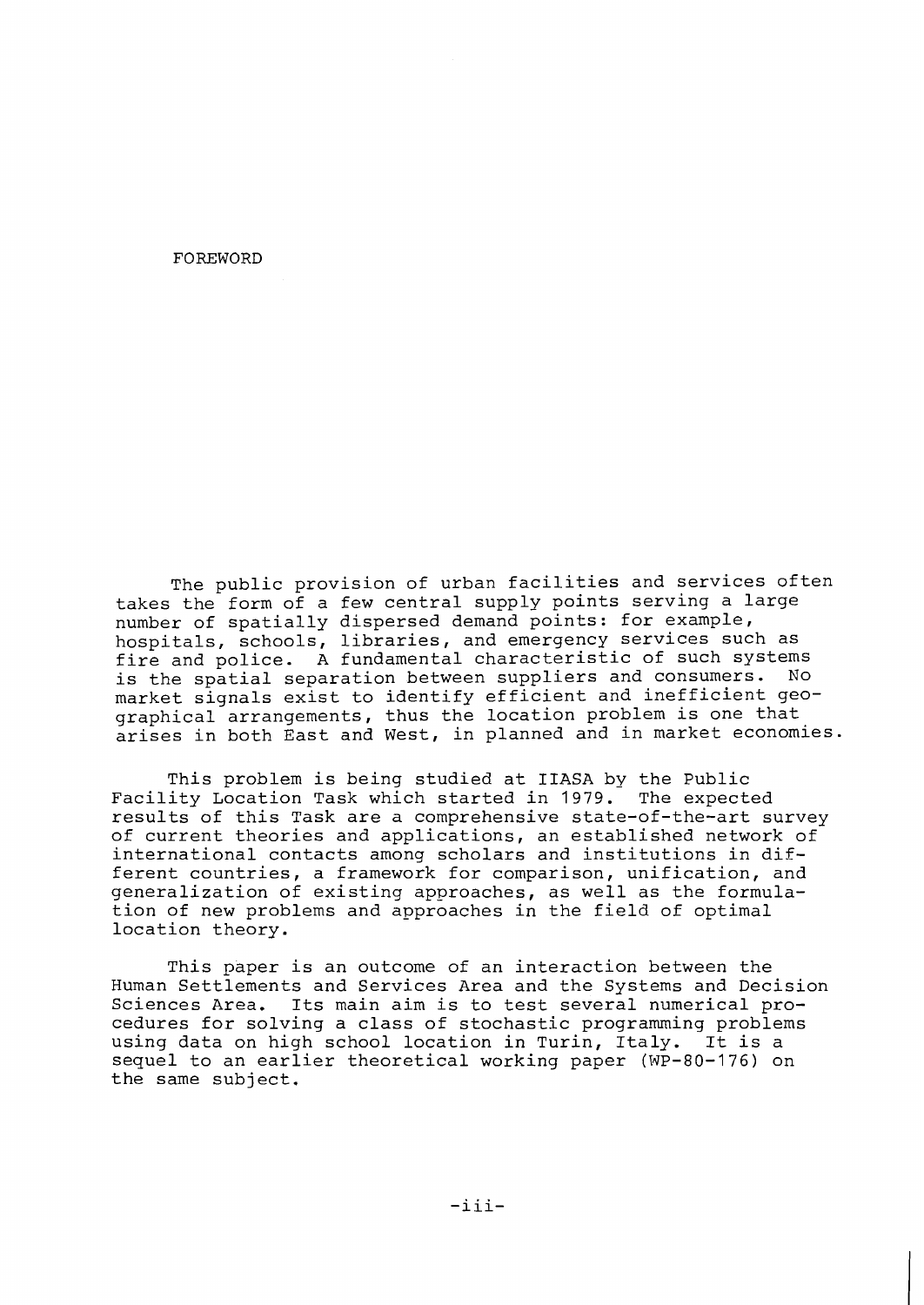FOREWORD

The public provision of urban facilities and services often takes the form of a few central supply points serving a large number of spatially dispersed demand points: for example, hospitals, schools, libraries, and emergency services such as fire and police. A fundamental characteristic of such systems<br>is the spatial separation between suppliers and consumers. No is the spatial separation between suppliers and consumers. market signals exist to identify efficient and inefficient geographical arrangements, thus the location problem is one that arises in both East and West, in planned and in market economies.

This problem is being studied at IIASA by the Public Facility Location Task which started in 1979. The expected results of this Task are a comprehensive state-of-the-art survey of current theories and applications, an established network of international contacts among scholars and institutions in different countries, a framework for comparison, unification, and generalization of existing approaches, as well as the formulation of new problems and approaches in the field of optimal location theory.

This paper is an outcome of an interaction between the Human Settlements and Services Area and the Systems and Decision Sciences Area. Its main aim is to test several numerical procedures for solving a class of stochastic programming problems<br>using data on high school location in Turin, Italy. It is a using data on high school location in Turin, Italy. sequel to an earlier theoretical working paper (WP-80-176) on the same subject.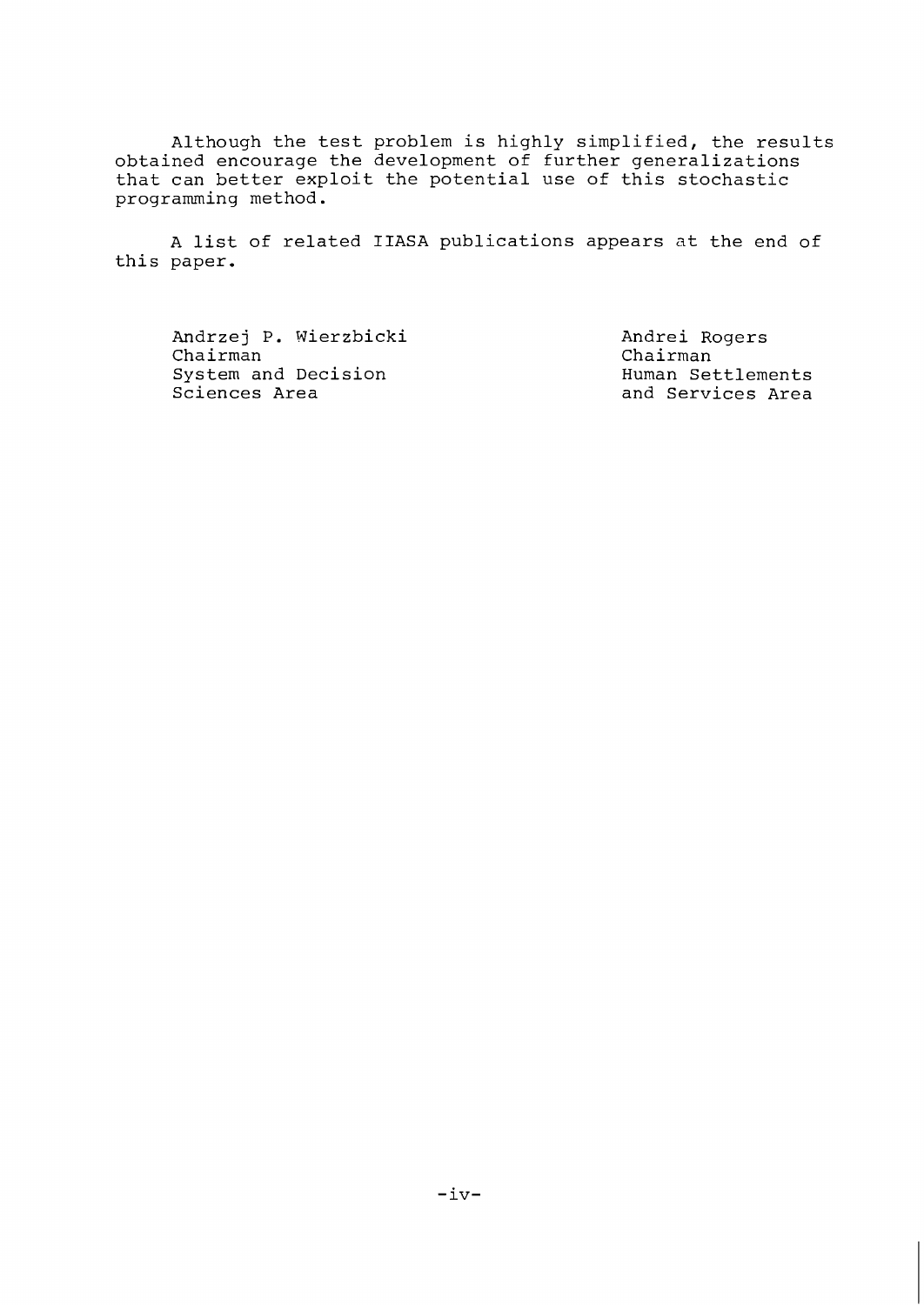Although the test problem is highly simplified, the results obtained encourage the development of further generalizations that can better exploit the potential use of this stochastic programming method.

A list of related IIASA publications appears at the end of this paper.

Andrzej P. Wierzbicki Chairman System and Decision Sciences Area

Andrei Rogers Chairman Human Settlements and Services Area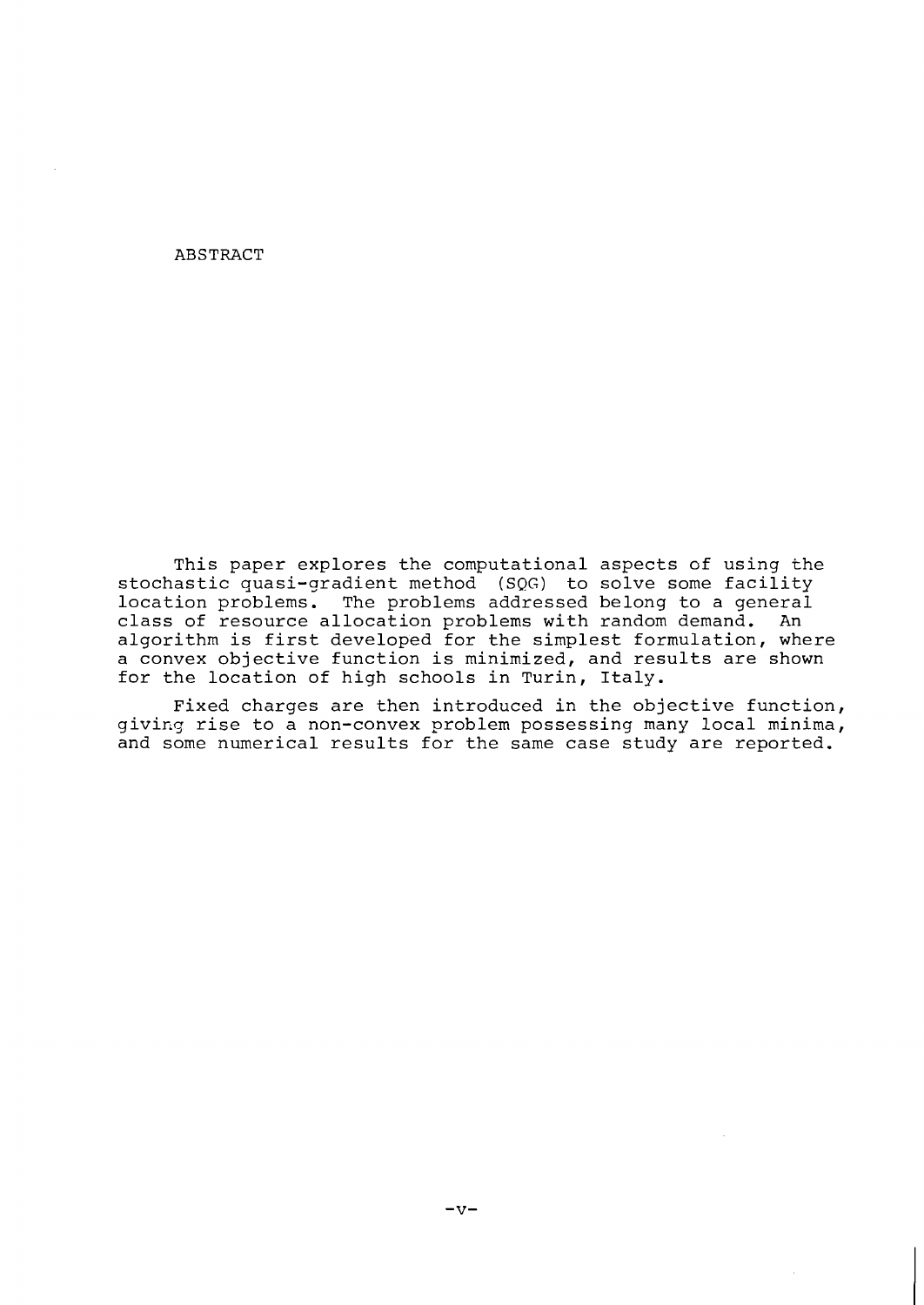## ABSTRACT

This paper explores the computational aspects of using the stochastic quasi-gradient method (SQG) to solve some facility location problems. The problems addressed belong to a general class of resource allocation problems with random demand. An algorithm is first developed for the simplest formulation, where a convex objective function is minimized, and results are shown for the location of high schools in Turin, Italy.

Fixed charges are then introduced in the objective function, giving rise to a non-convex problem possessing many local minima, and some numerical results for the same case study are reported.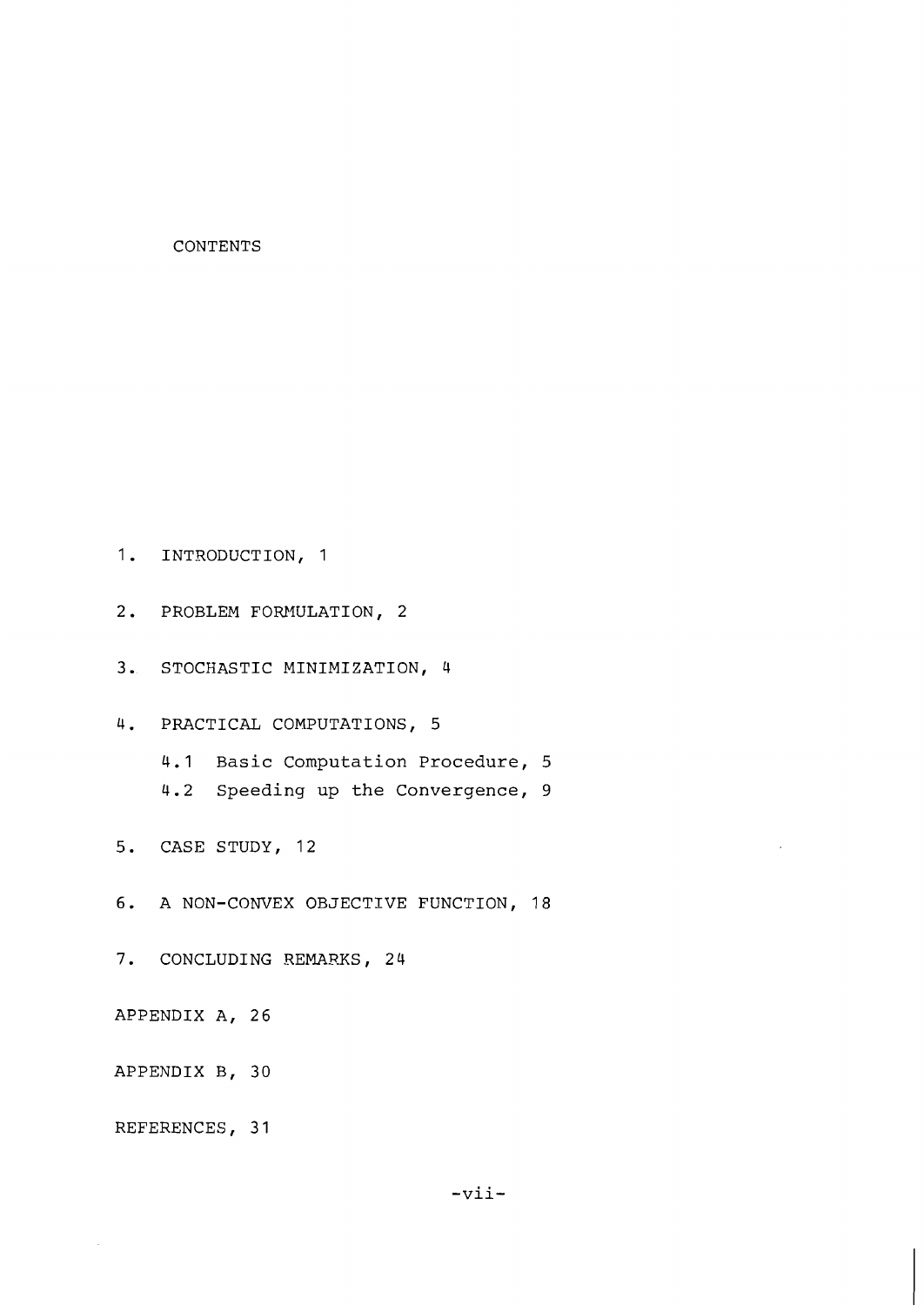## CONTENTS

1. INTRODUCTION, 1

- 2. PROBLEM FORMULATION, 2
- 3. STOCHASTIC MINIMIZATION, 4

4. PRACTICAL COMPUTATIONS, 5

4.1 Basic Computation Procedure, 5

4.2 Speeding up the Convergence, 9

5. CASE STUDY, 12

6. A NON-CONVEX OBJECTIVE FUNCTION, 18

7. CONCLUDING REMARKS, 24

APPENDIX A, 26

APPENDIX B, 30

REFERENCES, 31

 $\bar{\gamma}$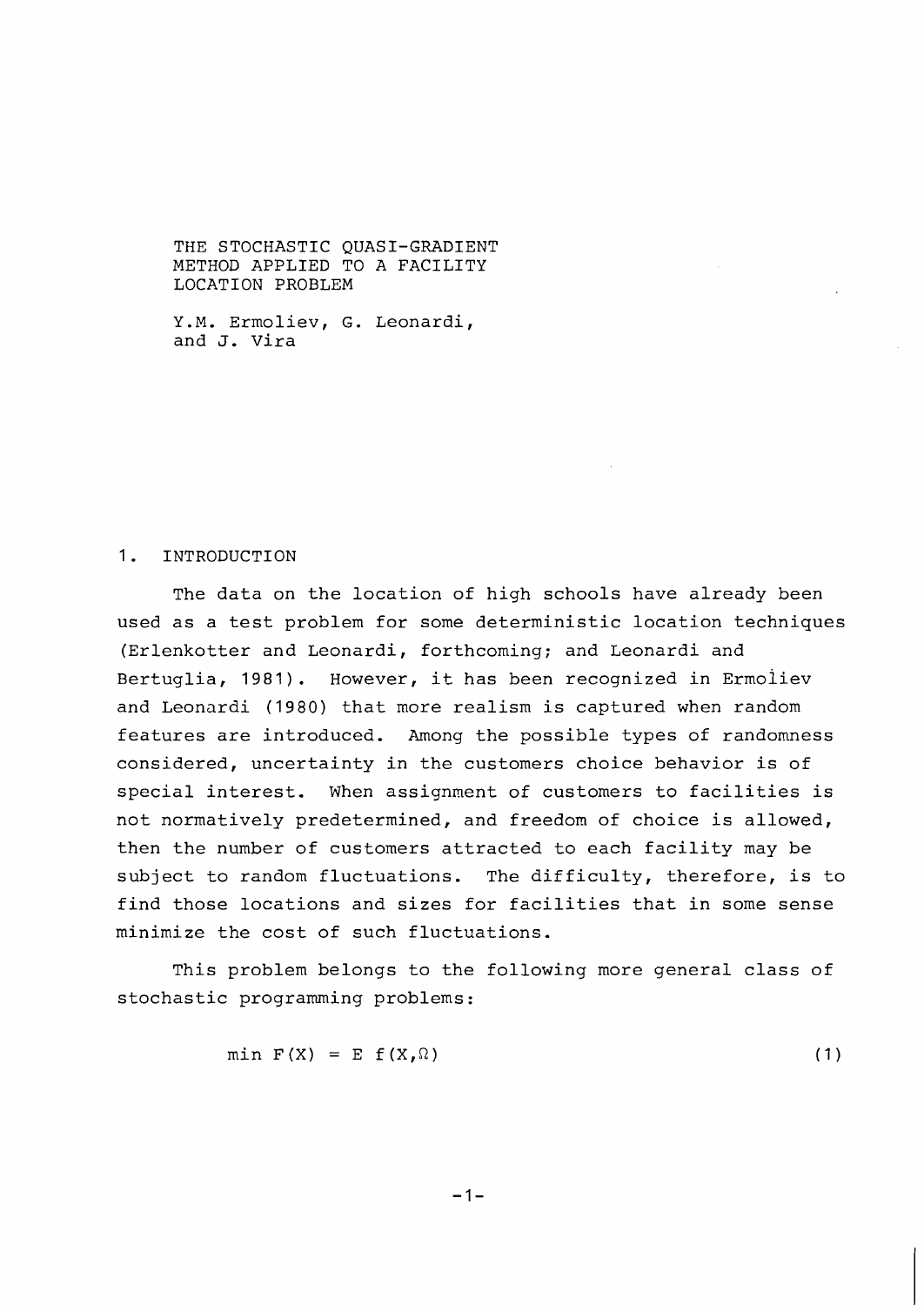THE STOCHASTIC QUASI-GRADIENT METHOD APPLIED TO A FACILITY LOCATION PROBLEM

Y.M. Ermoliev, G. Leonardi, and J. Vira

## 1. INTRODUCTION

The data on the location of high schools have already been used as a test problem for some deterministic location techniques (Erlenkotter and Leonardi, forthcoming; and Leonardi and Bertuglia, 1981). However, it has been recognized in Ermoliev and Leonardi (1980) that more realism is captured when random features are introduced. Among the possible types of randomness considered, uncertainty in the customers choice behavior is of special interest. When assignment of customers to facilities is not normatively predetermined, and freedom of choice is allowed, then the number of customers attracted to each facility may be subject to random fluctuations. The difficulty, therefore, is to find those locations and sizes for facilities that in some sense minimize the cost of such fluctuations.

This problem belongs to the following more general class of stochastic programming problems:

$$
\min \mathbf{F}(\mathbf{X}) = \mathbf{E} \mathbf{f}(\mathbf{X}, \Omega) \tag{1}
$$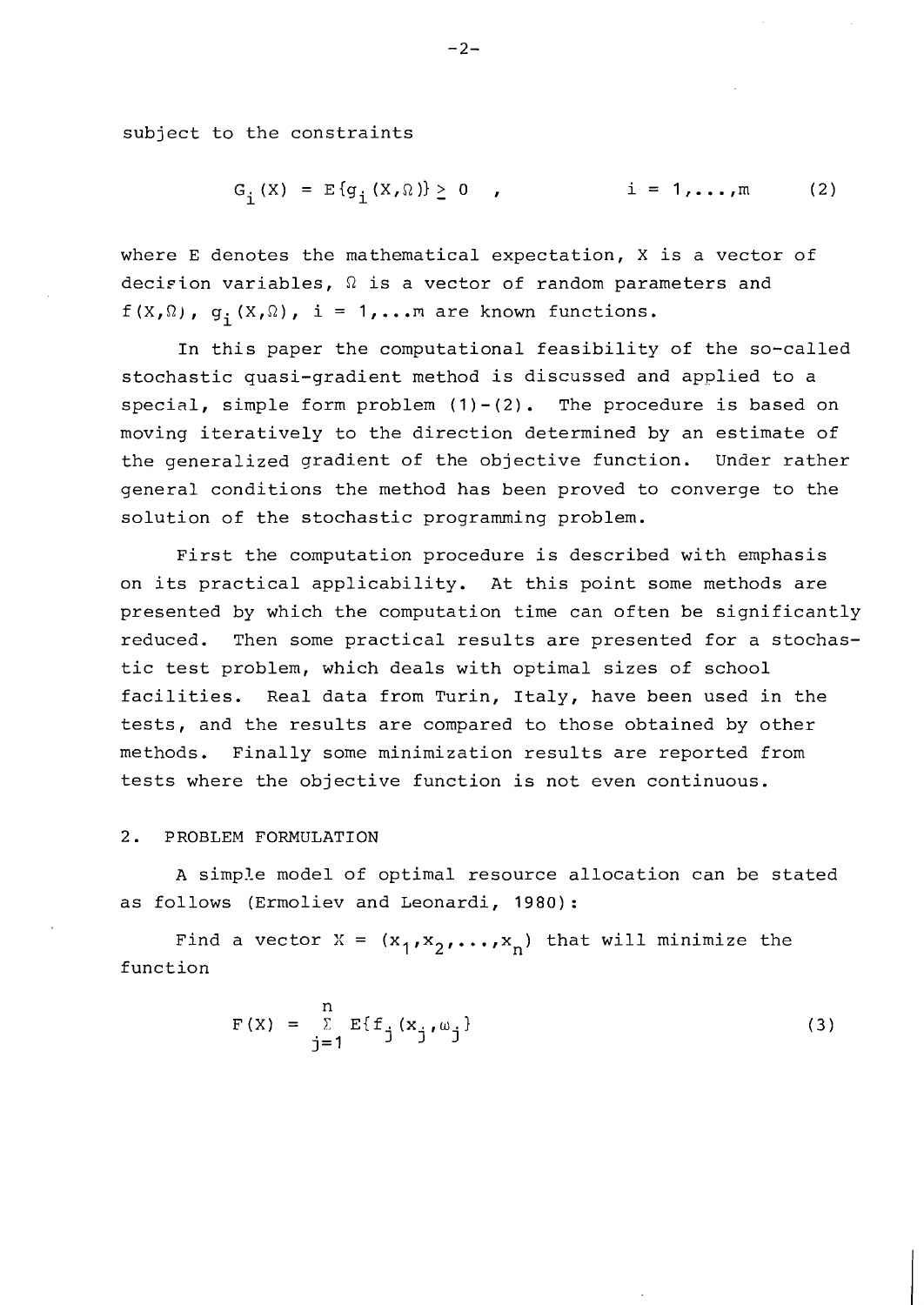subject to the constraints

$$
G_{\frac{1}{2}}(X) = E\{g_{\frac{1}{2}}(X,\Omega)\} \ge 0 \quad , \qquad i = 1,...,m \qquad (2)
$$

where E denotes the mathematical expectation, X is a vector of decirion variables,  $\Omega$  is a vector of random parameters and f  $(X, \Omega)$ ,  $g_i(X, \Omega)$ , i = 1,... m are known functions.

In this paper the computational feasibility of the so-called stochastic quasi-gradient method is discussed and applied to a special, simple form problem  $(1)-(2)$ . The procedure is based on moving iteratively to the direction determined by an estimate of the generalized gradient of the objective function. Under rather general conditions the method has been proved to converge to the solution of the stochastic programming problem.

First the computation procedure is described with emphasis on its practical applicability. At this point some methods are presented by which the computation time can often be significantly reduced. Then some practical results are presented for a stochastic test problem, which deals with optimal sizes of school facilities. Real data from Turin, Italy, have been used in the tests, and the results are compared to those obtained by other methods. Finally some minimization results are reported from tests where the objective function is not even continuous.

## 2. PROBLEM FORMULATION

A simple model of optimal resource allocation can be stated as follows (Ermoliev and Leonardi, 1980):

Find a vector X =  $(x_1, x_2, ..., x_n)$  that will minimize the function

$$
F(X) = \sum_{j=1}^{n} E\{f_j(x_j, \omega_j)\}
$$
 (3)

 $-2-$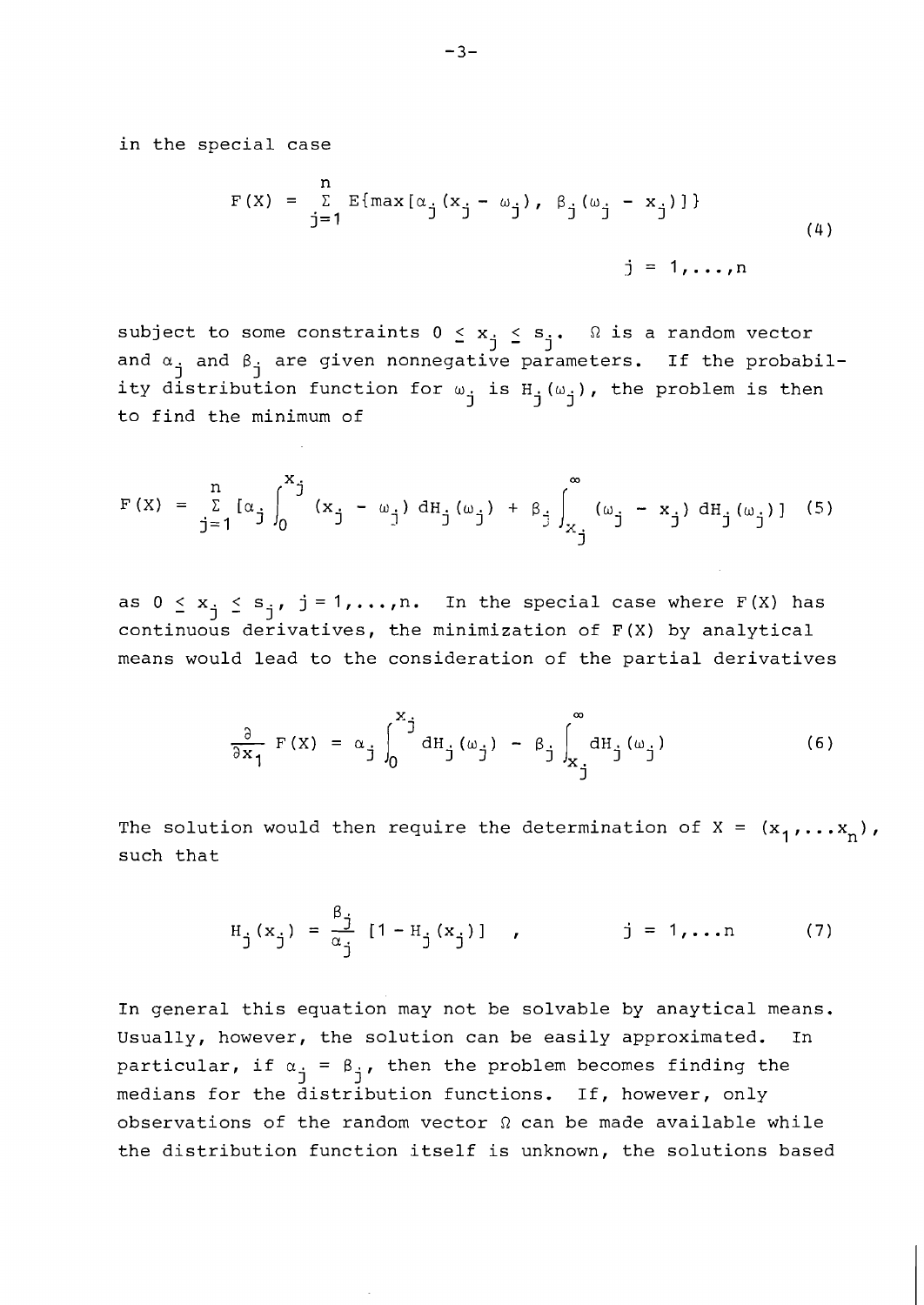in the special case

$$
F(X) = \sum_{j=1}^{n} E\{\max[\alpha_{j}(x_{j} - \omega_{j}), \beta_{j}(\omega_{j} - x_{j})]\}
$$
  

$$
j = 1,...,n
$$
 (4)

subject to some constraints  $0 \le x_j \le s_j$ .  $\Omega$  is a random vector<br>and  $\alpha_j$  and  $\beta_j$  are given nonnegative parameters. If the probability distribution function for  $\omega_{\tt_i}$  is  ${\tt H}_{\tt_i}(\omega_{\tt_i})$ , the problem is then  $j$   $\sim$   $j$ ,  $j'$ ,  $j'$ to find the minimum of

$$
F(X) = \sum_{j=1}^{n} [\alpha_{j} \int_{0}^{x_{j}} (x_{j} - \omega_{j}) dH_{j}(\omega_{j}) + \beta_{j} \int_{x_{j}}^{\infty} (\omega_{j} - x_{j}) dH_{j}(\omega_{j})]
$$
(5)

as  $0 \le x_j \le s_j$ ,  $j = 1, ..., n$ . In the special case where F(X) has continuous derivatives, the minimization of F(X) by analytical means would lead to the consideration of the partial derivatives

$$
\frac{\partial}{\partial x_1} F(X) = \alpha_j \int_0^{x_j} dH_j(\omega_j) - \beta_j \int_{x_j}^{\infty} dH_j(\omega_j)
$$
 (6)

The solution would then require the determination of  $X = (x_1, \ldots, x_n)$ , such that

$$
H_j(x_j) = \frac{\beta_j}{\alpha_j} [1 - H_j(x_j)] , \qquad j = 1,... \qquad (7)
$$

In general this equation may not be solvable by anaytical means. Usually, however, the solution can be easily approximated. In particular, if  $\alpha_j = \beta_j$ , then the problem becomes finding the medians for the distribution functions. If, however, only observations of the random vector  $\Omega$  can be made available while the distribution function itself is unknown, the solutions based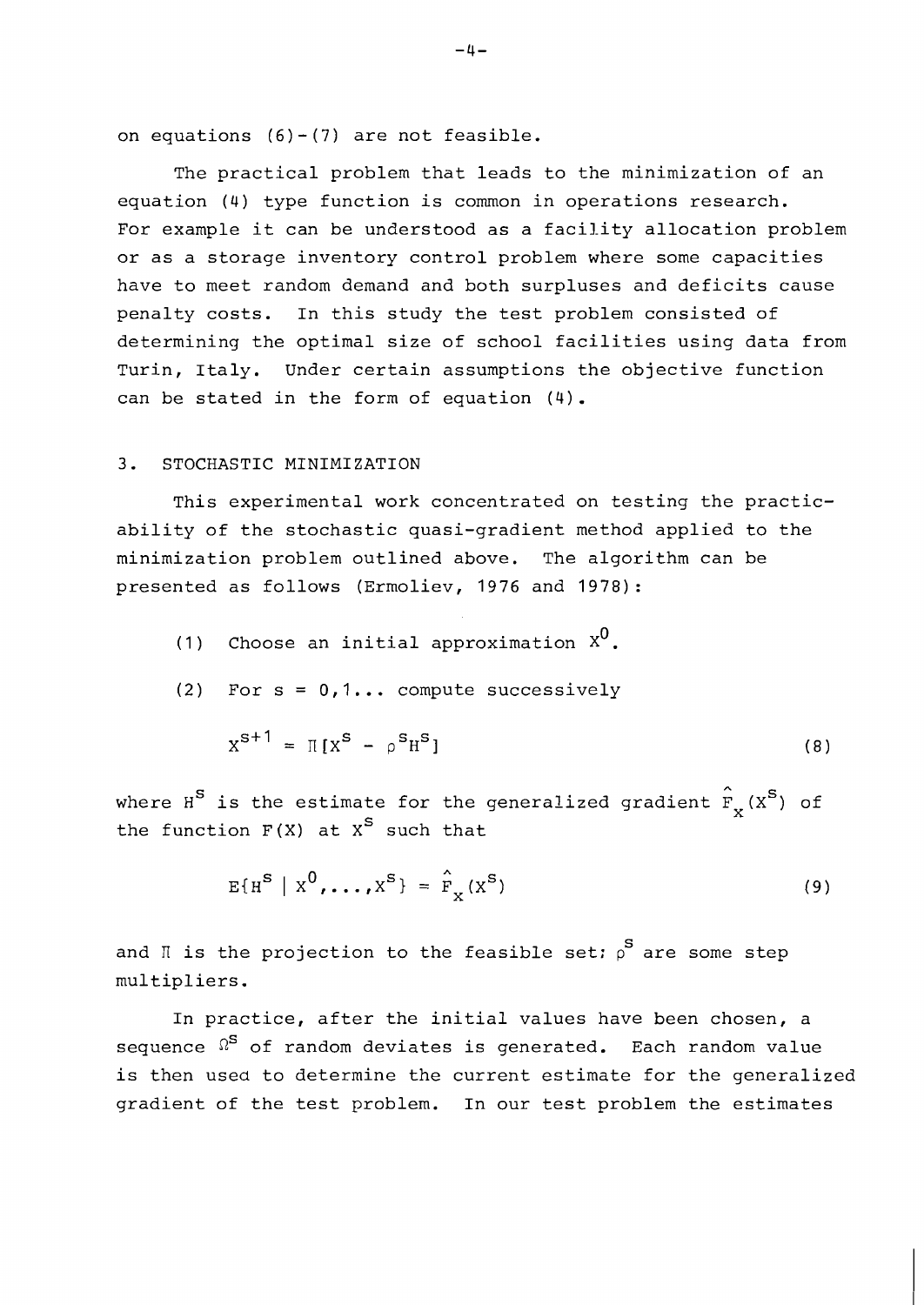on equations  $(6) - (7)$  are not feasible.

The practical problem that leads to the minimization of an equation (4) type function is common in operations research. For example it can be understood as a facility allocation problem or as a storage inventory control problem where some capacities have to meet random demand and both surpluses and deficits cause penalty costs. In this study the test problem consisted of determining the optimal size of school facilities using data from Turin, Italy. Under certain assumptions the objective function can be stated in the form of equation (4).

# **3.** STOCHASTIC MINIMIZATION

This experimental work concentrated on testing the practicability of the stochastic quasi-gradient method applied to the minimization problem outlined above. The algorithm can be presented as follows (Ermoliev, 1976 and 1978):

- (1) Choose an initial approximation  $x^0$ .
- (2) For  $s = 0, 1...$  compute successively

$$
X^{S+1} = \Pi [X^S - \rho^S H^S]
$$
 (8)

where  $H^S$  is the estimate for the generalized gradient  $\hat{F}_X^{\phantom{S}}(X^S)$  of the function  $F(X)$  at  $X^S$  such that

$$
E{HS | X0, ..., XS} = \hat{F}_X(XS)
$$
 (9)

and  $\mathbb{I}$  is the projection to the feasible set:  $\rho^{\text{S}}$  are some step multipliers.

In practice, after the initial values have been chosen, a sequence  $\Omega$ <sup>S</sup> of random deviates is generated. Each random value is then used to determine the current estimate for the generalized gradient of the test problem. In our test problem the estimates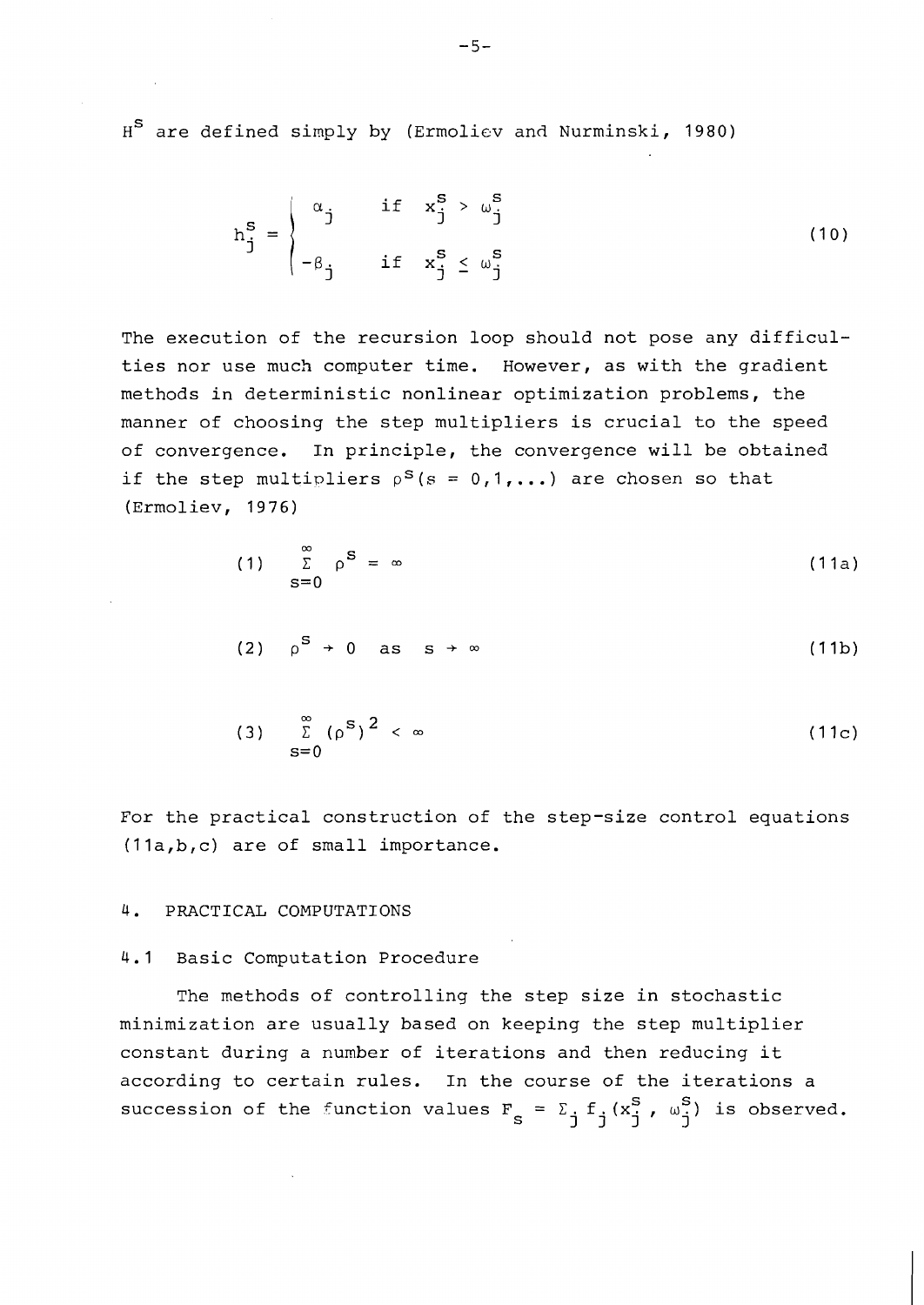H<sup>S</sup> are defined simply by (Ermoliev and Nurminski, 1980)

$$
h_j^s = \begin{cases} \alpha_j & \text{if } x_j^s > \omega_j^s \\ -\beta_j & \text{if } x_j^s \le \omega_j^s \end{cases}
$$
 (10)

The execution of the recursion loop should not pose any difficulties nor use much computer time. However, as with the gradient methods in deterministic nonlinear optimization problems, the manner of choosing the step multipliers is crucial to the speed of convergence. In principle, the convergence will be obtained if the step multipliers  $p^{s}(s = 0,1,...)$  are chosen so that (Ermoliev, 1976)

$$
\sum_{s=0}^{\infty} \rho^{s} = \infty
$$
 (11a)

$$
(2) \quad \rho^{\mathbf{S}} \rightarrow 0 \quad \text{as} \quad \mathbf{s} \rightarrow \infty \tag{11b}
$$

$$
(3) \quad \sum_{s=0}^{\infty} (\rho^s)^2 < \infty \tag{11c}
$$

For the practical construction of the step-size control equations (lla,b,c) are of small importance.

# 4. PRACTICAL COMPUTATIONS

## 4.1 Basic Computation Procedure

The methods of controlling the step size in stochastic minimization are usually based on keeping the step multiplier constant during a number of iterations and then reducing it according to certain rules. In the course of the iterations a succession of the function values  $F_s = \sum_j f_j(x_j^s, \omega_j^s)$  is observed.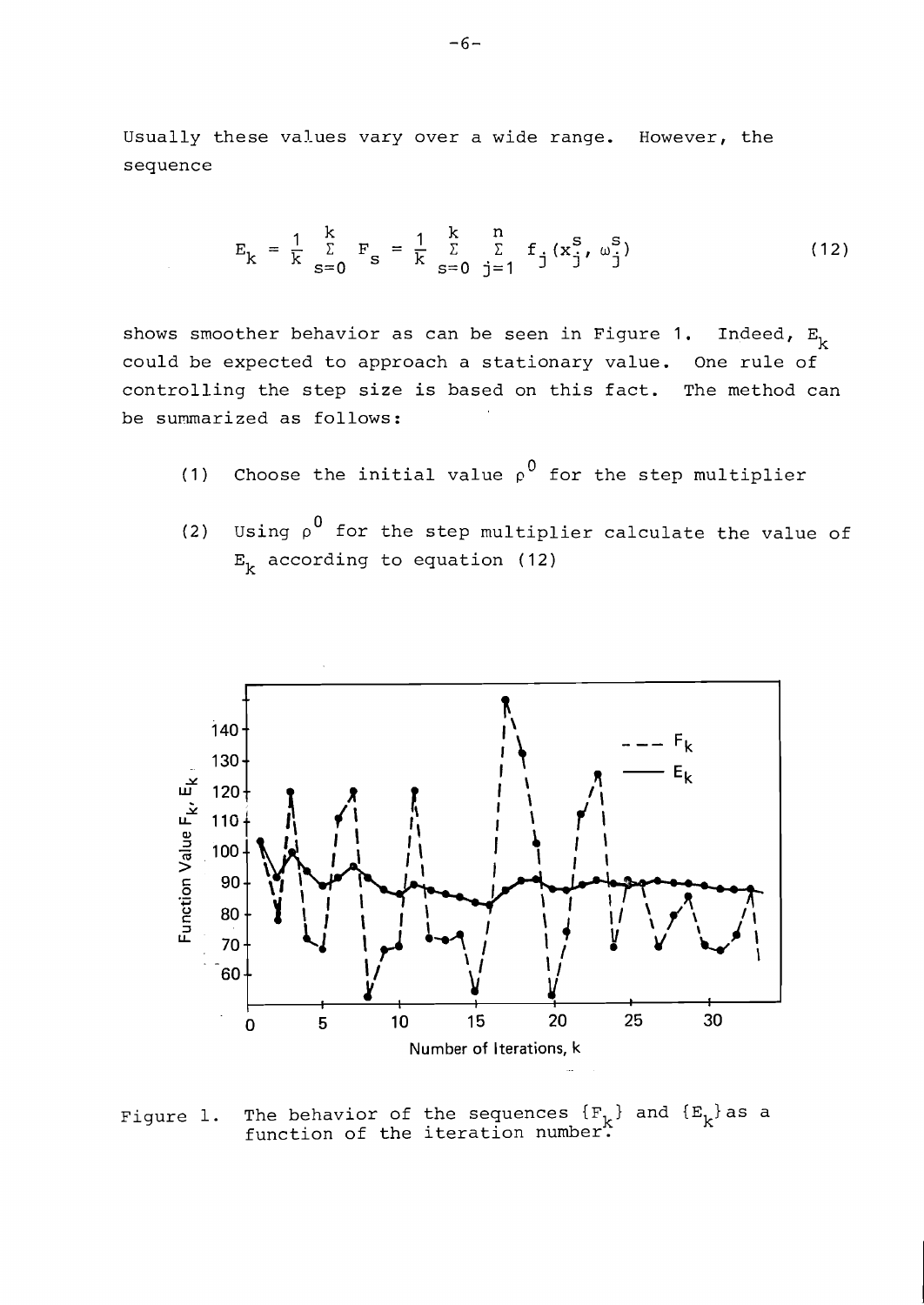Usually these values vary over a wide range. However, the sequence

$$
E_{k} = \frac{1}{k} \sum_{s=0}^{k} F_{s} = \frac{1}{k} \sum_{s=0}^{k} \sum_{j=1}^{n} f_{j}(x_{j}^{s}, \omega_{j}^{s})
$$
(12)

shows smoother behavior as can be seen in Figure 1. Indeed,  $E_k$ could be expected to approach a stationary value. One rule of controlling the step size is based on this fact. The method can be summarized as follows:

- (1) Choose the initial value  $\rho^0$  for the step multiplier
- (2) Using  $\rho^0$  for the step multiplier calculate the value of  $E_k$  according to equation (12)



Figure 1. The behavior of the sequences  $\{ {\tt F}_{\tt k} \}$  and  $\{ {\tt E}_{\tt k} \}$  as a function of the iteration number.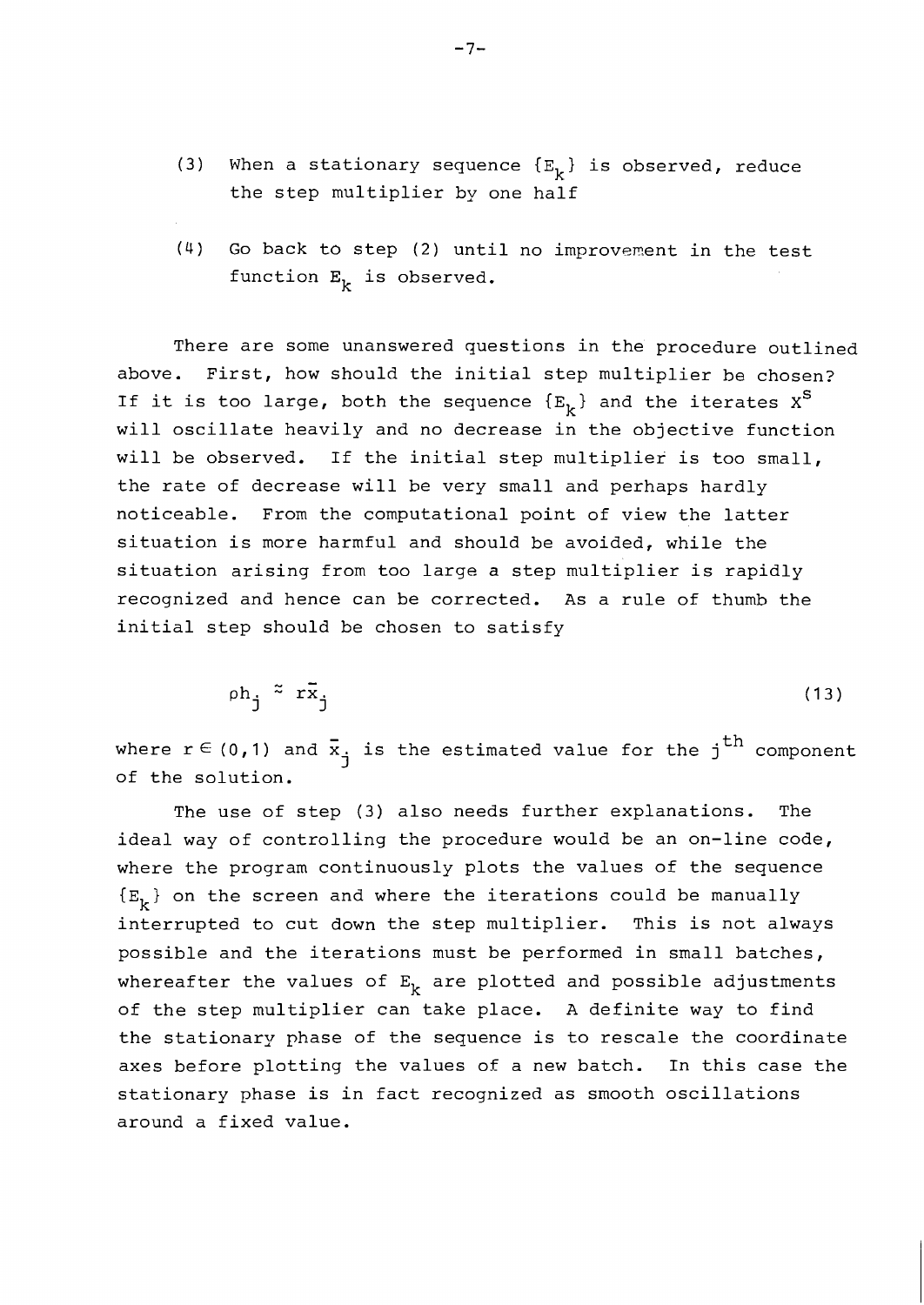- (3) When a stationary sequence  $\{E_k\}$  is observed, reduce the step multiplier by one half
- $(4)$  Go back to step  $(2)$  until no improvement in the test function  $E_k$  is observed.

There are some unanswered questions in the procedure outlined above. First, how should the initial step multiplier he chosen? If it is too large, both the sequence  ${E_{\mathbf{r}}}$  and the iterates  $\mathbf{x}^{\mathbf{S}}$ will oscillate heavily and no decrease in the objective function will be observed. If the initial step multiplier is too small, the rate of decrease will be very small and perhaps hardly noticeable. From the computational point of view the latter situation is more harmful and should be avoided, while the situation arising from too large a step multiplier is rapidly recognized and hence can be corrected. As a rule of thumb the initial step should be chosen to satisfy

$$
\rho h_j \stackrel{\approx}{=} r \bar{x}_j \tag{13}
$$

where  $r \in (0,1)$  and  $\bar{x}_j$  is the estimated value for the j<sup>th</sup> component of the solution.

The use of step (3) also needs further explanations. The ideal way of controlling the procedure would be an on-line code, where the program continuously plots the values of the sequence  ${E_k}$  on the screen and where the iterations could be manually interrupted to cut down the step multiplier. This is not always possible and the iterations must be performed in small batches, whereafter the values of  $E_k$  are plotted and possible adjustments of the step multiplier can take place. A definite way to find the stationary phase of the sequence is to rescale the coordinate axes before plotting the values of a new batch. In this case the stationary phase is in fact recognized as smooth oscillations around a fixed value.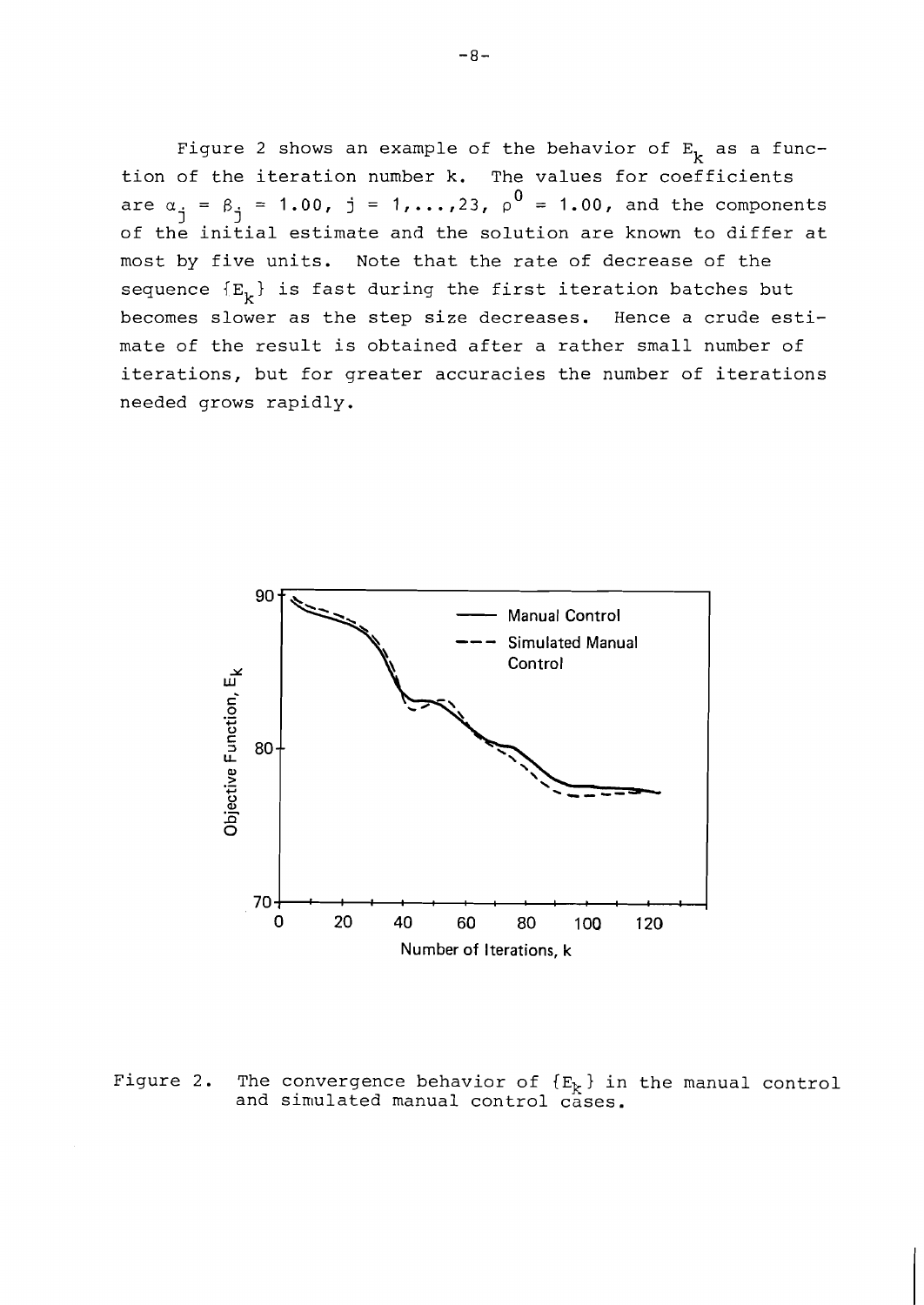Figure 2 shows an example of the behavior of  $E_k$  as a function of the iteration number k. The values for coefficients are  $\alpha_j = \beta_j = 1.00$ ,  $j = 1, ..., 23$ ,  $\rho^0 = 1.00$ , and the components of the initial estimate and the solution are known to differ at most by five units. Note that the rate of decrease of the sequence  ${E_{k}}$  is fast during the first iteration batches but becomes slower as the step size decreases. Hence a crude estimate of the result is obtained after a rather small number of iterations, but for greater accuracies the number of iterations needed grows rapidly.



Figure 2. The convergence behavior of  ${E_k}$  in the manual control and simulated manual control cases.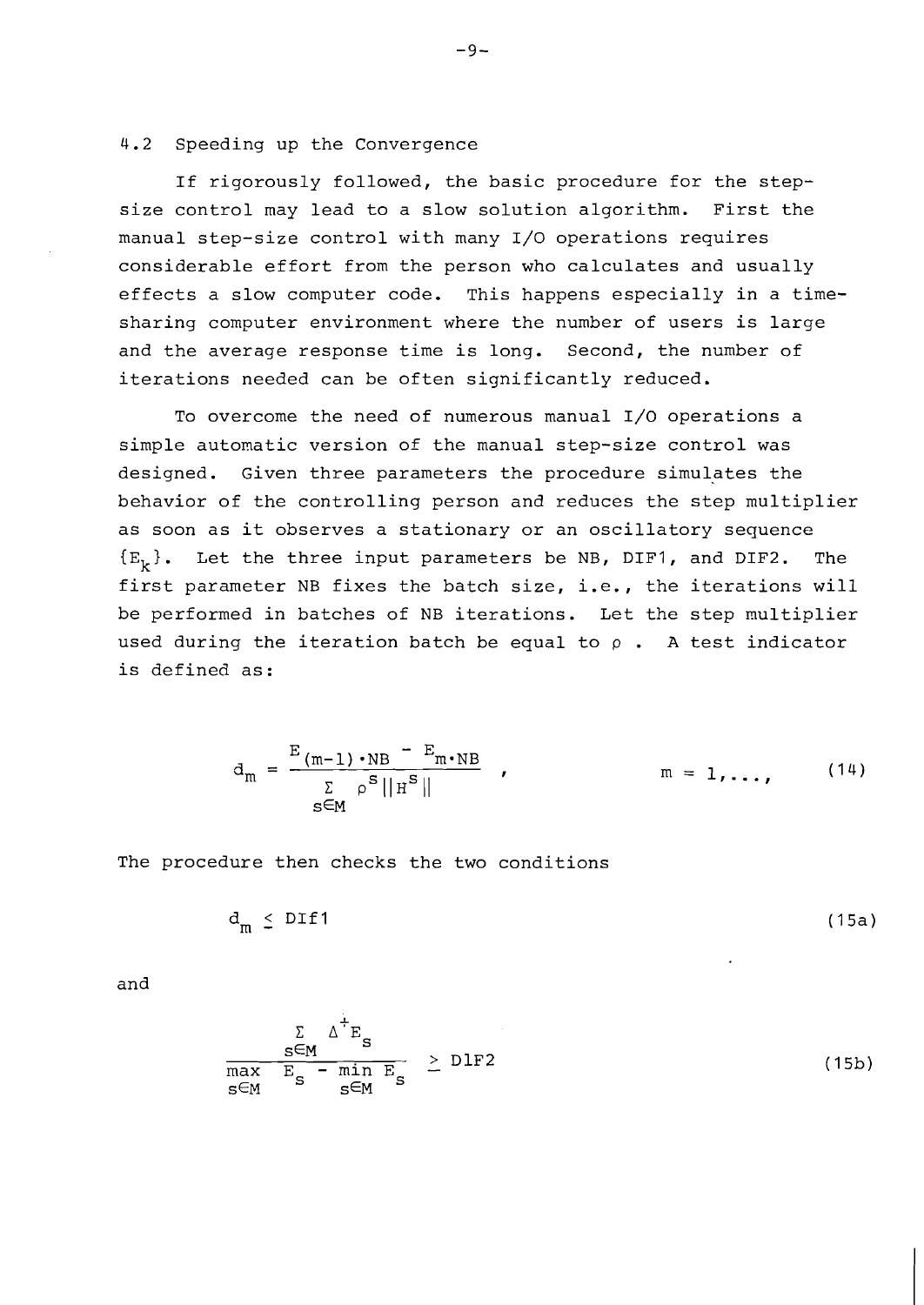#### 4.2 Speeding up the Convergence

If rigorously followed, the basic procedure for the stepsize control may lead to a slow solution algorithm. First the manual step-size control with many 1/0 operations requires considerable effort from the person who calculates and usually effects a slow computer code. This happens especially in a timesharing computer environment where the number of users is large and the average response time is long. Second, the number of iterations needed can be often significantly reduced.

To overcome the need of numerous manual 1/0 operations a simple automatic version of the manual step-size control was designed. Given three parameters the procedure simulates the behavior of the controlling person and reduces the step multiplier as soon as it observes a stationary or an oscillatory sequence  ${E_k}$ . Let the three input parameters be NB, DIF1, and DIF2. The first parameter NB fixes the batch size, i.e., the iterations will be performed in batches of NB iterations. Let the step multiplier used during the iteration batch be equal to  $\rho$ . A test indicator is defined as :

$$
d_m = \frac{E_{(m-1)} \cdot NB - E_{m} \cdot NB}{\sum\limits_{s \in M} \rho^s ||H^s||} , \qquad m = 1, ..., \qquad (14)
$$

The procedure then checks the two conditions

$$
d_m \leq DIf1 \tag{15a}
$$

and

$$
\frac{\sum_{s \in M} \Delta^{\dagger} E_s}{\max_{s \in M} E_s - \min_{s \in M} E_s} \geq DIF2
$$
 (15b)

 $-9-$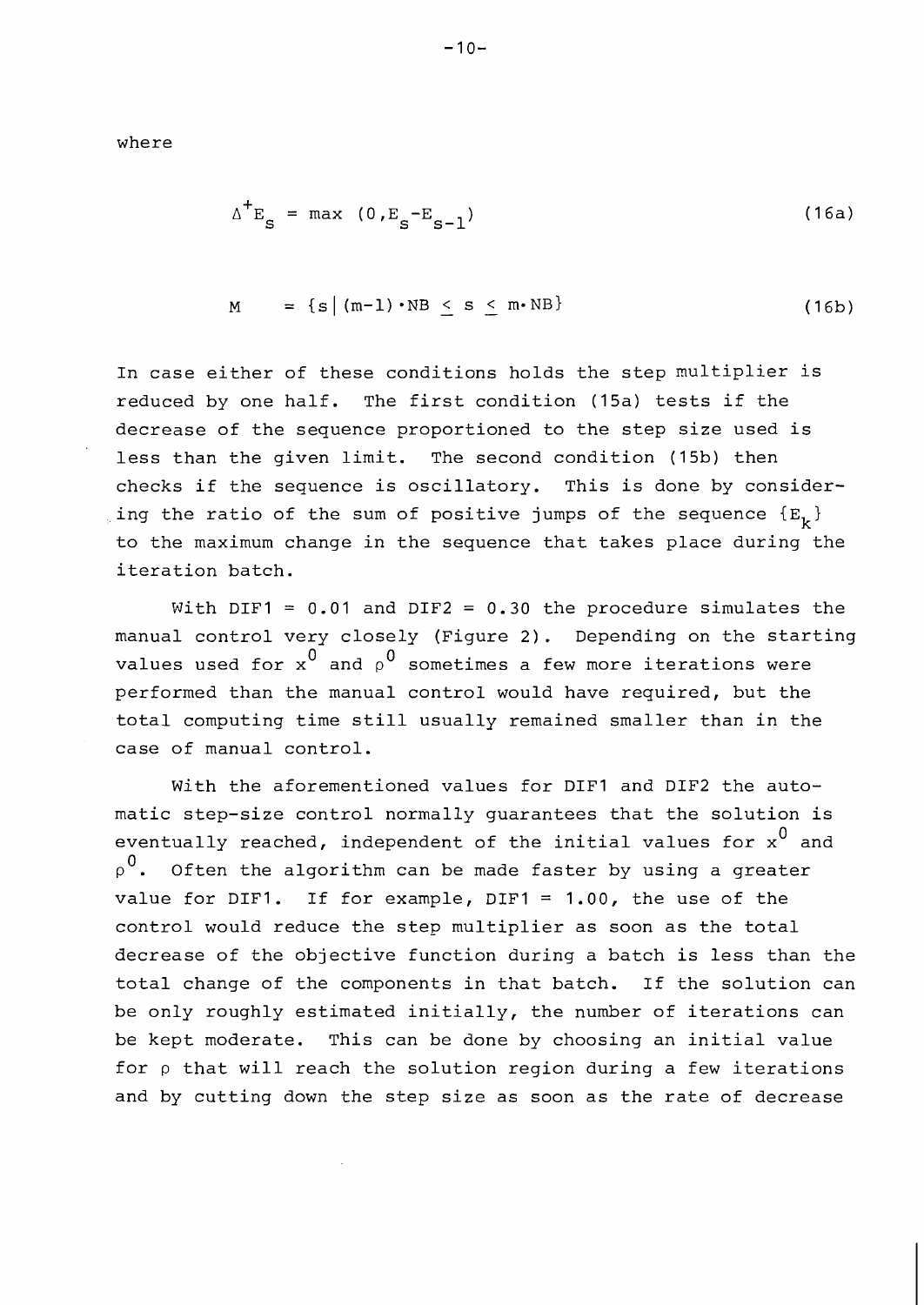where

$$
\Delta^+ E_S = \max (0, E_S - E_{S-1})
$$
 (16a)

$$
M = \{s \mid (m-1) \cdot NB < s \leq m \cdot NB\} \tag{16b}
$$

In case either of these conditions holds the step multiplier is reduced by one half. The first condition (15a) tests if the decrease of the sequence proportioned to the step size used is less than the given limit. The second condition (15b) then checks if the sequence is oscillatory. This is done by considering the ratio of the sum of positive jumps of the sequence  ${E_{\bf{b}}}$ to the maximum change in the sequence that takes place during the iteration batch.

With DIF1 = 0.01 and DIF2 = 0.30 the procedure simulates the manual control very closely (Figure 2). Depending on the starting values used for  $x^0$  and  $x^0$  sometimes a few more iterations were performed than the manual control would have required, but the total computing time still usually remained smaller than in the case of manual control.

With the aforementioned values for DIF1 and DIF2 the automatic step-size control normally guarantees that the solution is eventually reached, independent of the initial values for  $x^0$  and  $\varphi^0$ . Often the algorithm can be made faster by using a greater value for DIF1. If for example, DIFl = 1.00, the use of the control would reduce the step multiplier as soon as the total decrease of the objective function during a batch is less than the total change of the components in that batch. If the solution can be only roughly estimated initially, the number of iterations can be kept moderate. This can be done by choosing an initial value for  $\rho$  that will reach the solution region during a few iterations and by cutting down the step size as soon as the rate of decrease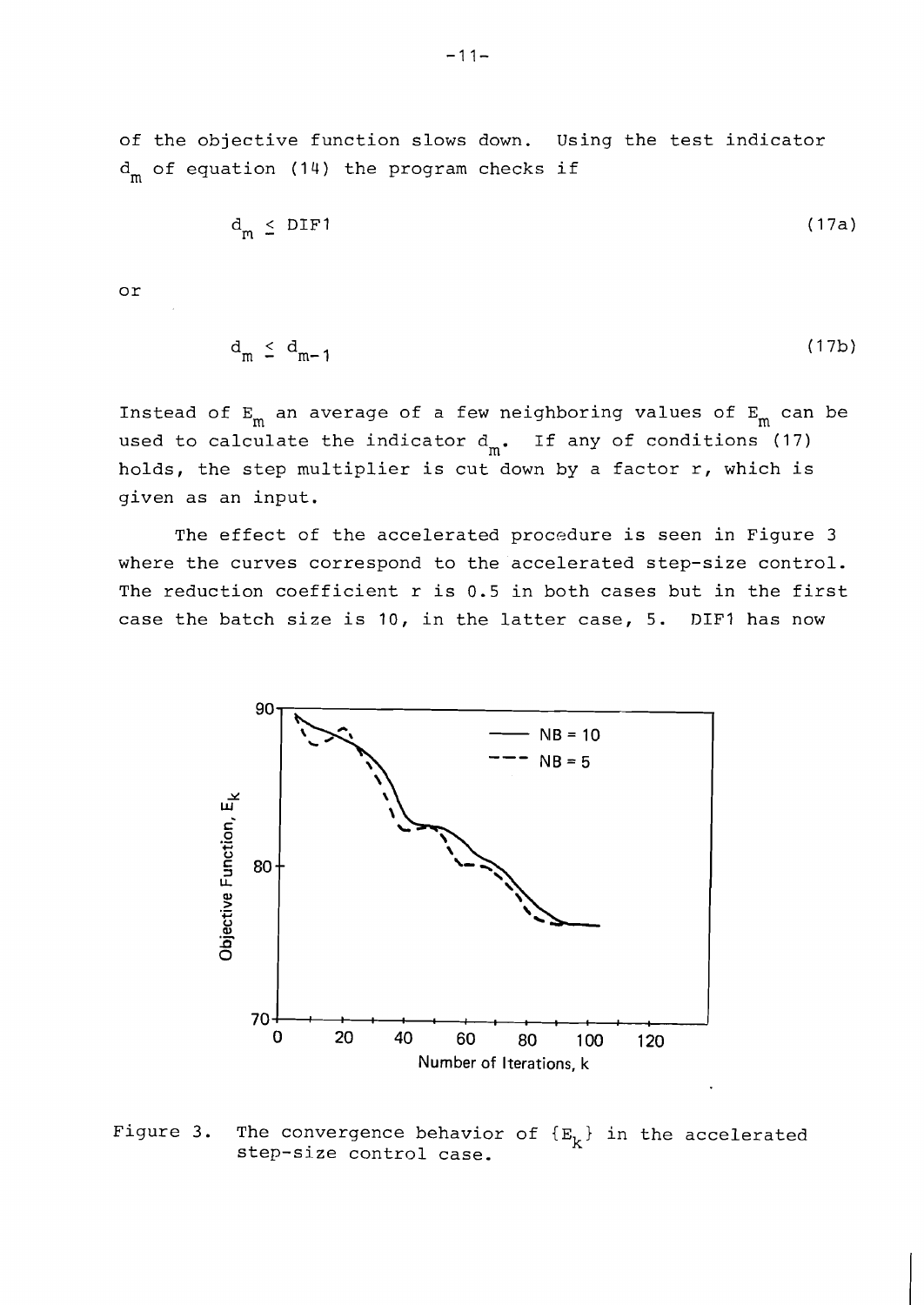of the objective function slows down. Using the test indicator  $d_m$  of equation (14) the program checks if

$$
d_m \leq DIF1 \tag{17a}
$$

or

$$
\mathbf{d}_{\mathbf{m}} \leq \mathbf{d}_{\mathbf{m-1}} \tag{17b}
$$

Instead of  $E_m$  an average of a few neighboring values of  $E_m$  can be used to calculate the indicator  $d_m$ . If any of conditions (17) holds, the step multiplier is cut down by a factor r, which is given as an input.

The effect of the accelerated procedure is seen in Figure 3 where the curves correspond to the accelerated step-size control. The reduction coefficient r is 0.5 in both cases but in the first case the batch size is 10, in the latter case, 5. DIFl has now



Figure 3. The convergence behavior of  $\{E_k\}$  in the accelerated step-size control case.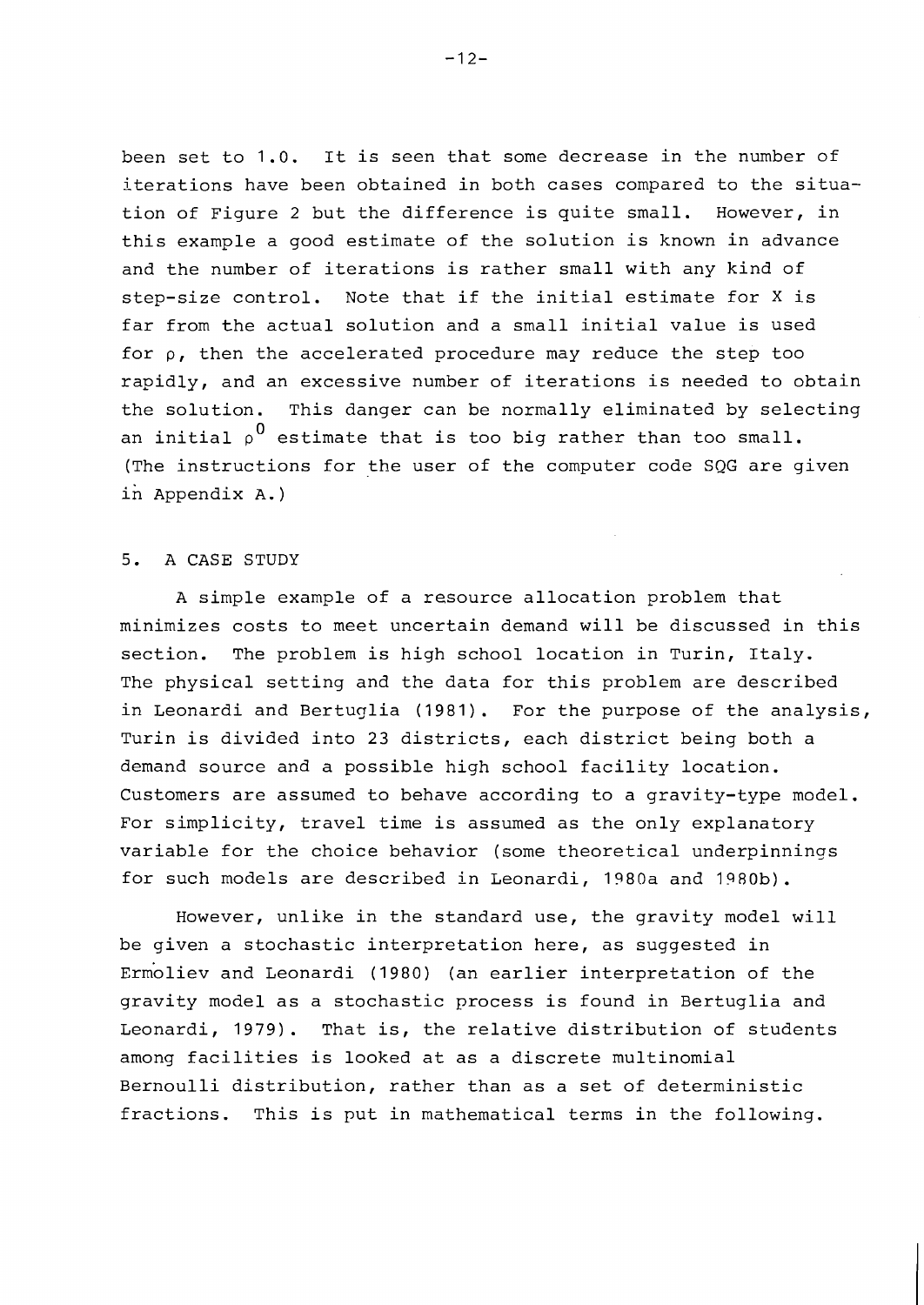been set to 1.0. It is seen that some decrease in the number of iterations have been obtained in both cases compared to the situation of Figure 2 but the difference is quite small. However, in this example a good estimate of the solution is known in advance and the number of iterations is rather small with any kind of step-size control. Note that if the initial estimate for X is far from the actual solution and a small initial value is used for  $\rho$ , then the accelerated procedure may reduce the step too rapidly, and an excessive number of iterations is needed to obtain the solution. This danger can be normally eliminated by selecting an initial  $\rho^0$  estimate that is too big rather than too small. (The instructions for the user of the computer code SQG are given in Appendix A. )

## 5. A CASE STUDY

A simple example of a resource allocation problem that minimizes costs to meet uncertain demand will be discussed in this section. The problem is high school location in Turin, Italy. The physical setting and the data for this problem are described in Leonardi and Bertuglia (1981). For the purpose of the analysis, Turin is divided into 23 districts, each district being both a demand source and a possible high school facility location. Customers are assumed to behave according to a gravity-type model. For simplicity, travel time is assumed as the only explanatory variable for the choice behavior (some theoretical underpinnings for such models are described in Leonardi, 1980a and 1980b).

However, unlike in the standard use, the gravity model will be given a stochastic interpretation here, as suggested in Ermoliev and Leonardi (1980) (an earlier interpretation of the gravity model as a stochastic process is found in Bertuglia and Leonardi, 1979). That is, the relative distribution of students among facilities is looked at as a discrete multinomial Bernoulli distribution, rather than as a set of deterministic fractions. This is put in mathematical terms in the following.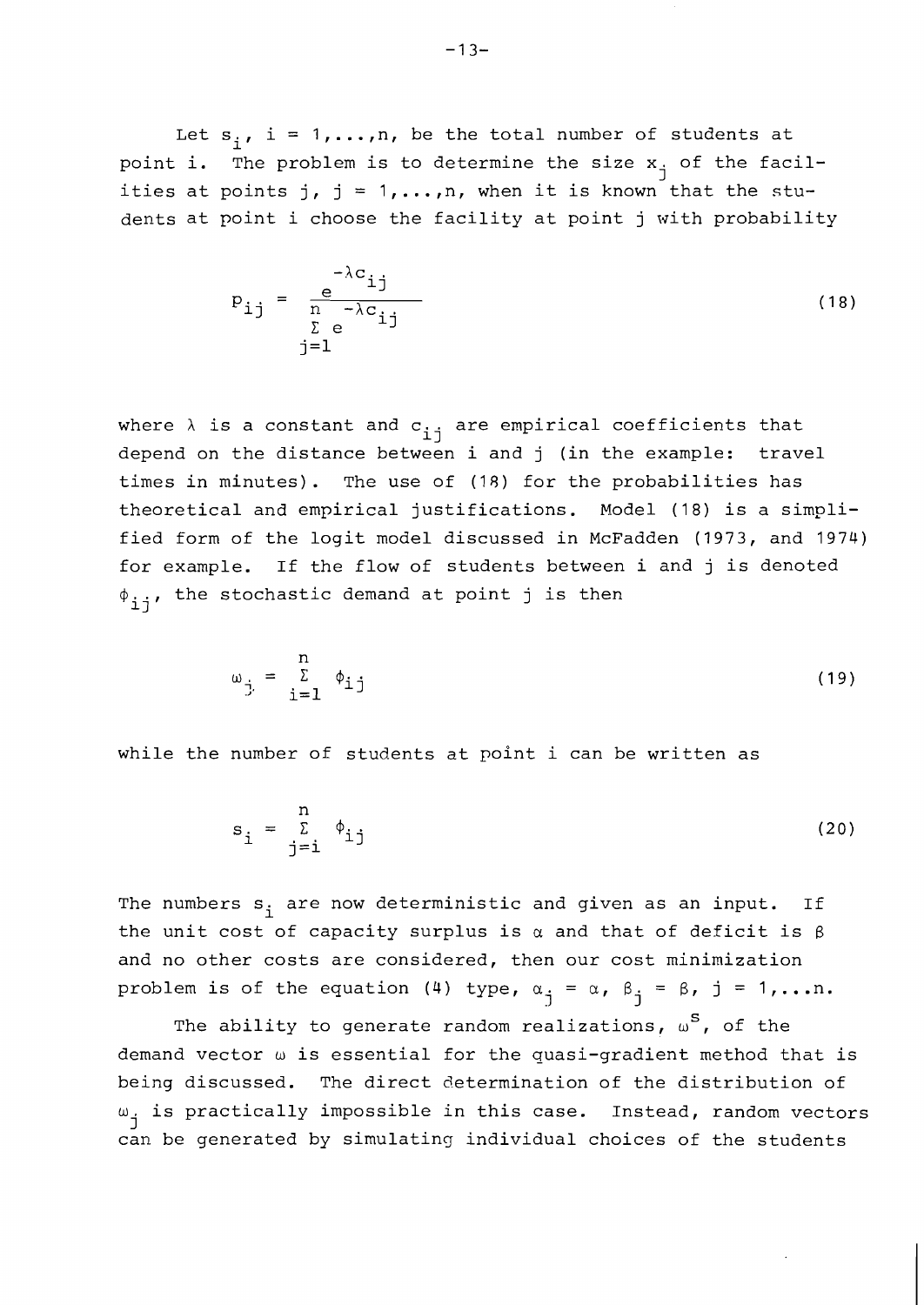Let  $s_i$ , i = 1,..., n, be the total number of students at point i. The problem is to determine the size  $x_i$  of the facilities at points j,  $j = 1, ..., n$ , when it is known that the students at point i choose the facility at point j with probability

$$
p_{ij} = \frac{e^{-\lambda c_{ij}}}{\sum_{\substack{\Sigma \ e \\ j=1}}^{\infty} e^{-\lambda c_{ij}}}
$$
 (18)

where  $\lambda$  is a constant and  $c_{i,j}$  are empirical coefficients that depend on the distance between i and j (in the example: travel times in minutes). The use of (18) for the probabilities has theoretical and empirical justifications. Model (18) is a simplified form of the logit model discussed in McFadden (1973, and 1974) for example. If the flow of students between i and j is denoted  $\phi_{i,i}$ , the stochastic demand at point j is then

$$
\omega_{\dot{j}} = \sum_{i=1}^{n} \phi_{i\dot{j}}
$$
 (19)

while the number of students at point i can be written as

$$
s_{i} = \sum_{j=i}^{n} \phi_{ij}
$$
 (20)

The numbers  $s_i$  are now deterministic and given as an input. If the unit cost of capacity surplus is  $\alpha$  and that of deficit is  $\beta$ and no other costs are considered, then our cost minimization problem is of the equation (4) type,  $\alpha_{j} = \alpha$ ,  $\beta_{j} = \beta$ , j = 1,...n.

The ability to generate random realizations,  $\omega^{S}$ , of the demand vector w is essential for the quasi-gradient method that is being discussed. The direct determination of the distribution of  $\omega_{\text{A}}$  is practically impossible in this case. Instead, random vectors can be generated by simulating individual choices of the students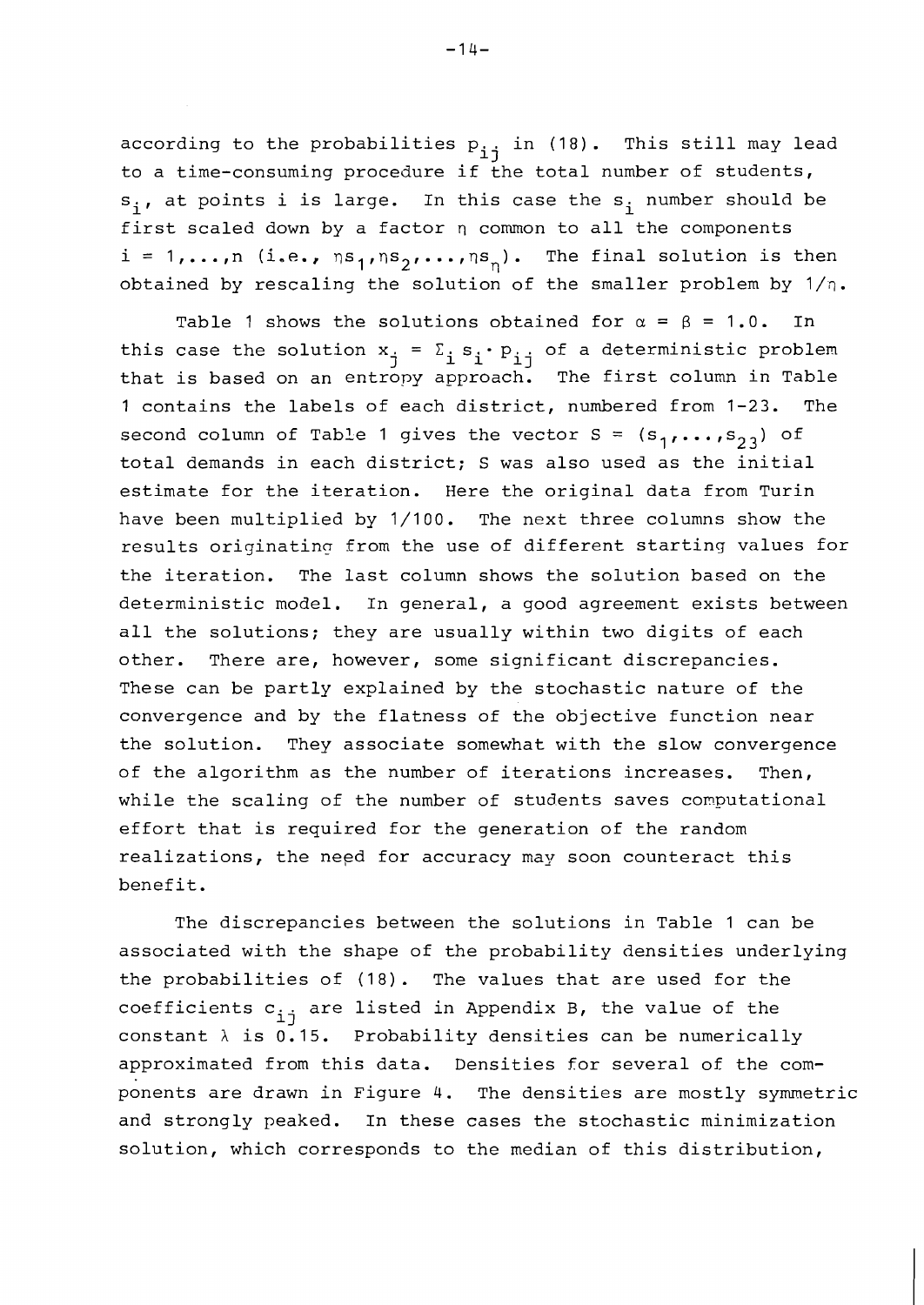according to the probabilities  $p_{i,j}$  in (18). This still may lead to a time-consuming procedure if the total number of students,  $s_i$ , at points i is large. In this case the  $s_i$  number should be first scaled down by a factor  $\eta$  common to all the components  $i = 1, ..., n$  (i.e.,  $ns_1,ns_2, ..., ns_n$ ). The final solution is then obtained by rescaling the solution of the smaller problem by  $1/n$ .

Table 1 shows the solutions obtained for  $\alpha = \beta = 1.0$ . In this case the solution  $x_j = \sum_i s_i \cdot p_{i,j}$  of a deterministic problem<br>that is based on an entropy approach. The first column in Table 1 contains the labels of each district, numbered from 1-23. The second column of Table 1 gives the vector  $S = (s_1, \ldots, s_{2,3})$  of total demands in each district; S was also used as the initial estimate for the iteration. Here the original data from Turin have been multiplied by 1/100. The next three columns show the results originating from the use of different starting values for the iteration. The last column shows the solution based on the deterministic model. In general, a good agreement exists between all the solutions; they are usually within two digits of each other. There are, however, some significant discrepancies. These can be partly explained by the stochastic nature of the convergence and by the flatness of the objective function near the solution. They associate somewhat with the slow convergence of the algorithm as the number of iterations increases. Then, while the scaling of the number of students saves computational effort that is required for the generation of the random realizations, the need for accuracy may soon counteract this benefit.

The discrepancies between the solutions in Table 1 can be associated with the shape of the probability densities underlying the probabilities of (18). The values that are used for the coefficients  $c_{i,j}$  are listed in Appendix B, the value of the constant  $\lambda$  is 0.15. Probability densities can be numerically approximated from this data. Densities for several of the components are drawn in Figure 4. The densities are mostly symmetric and strongly peaked. In these cases the stochastic minimization solution, which corresponds to the median of this distribution,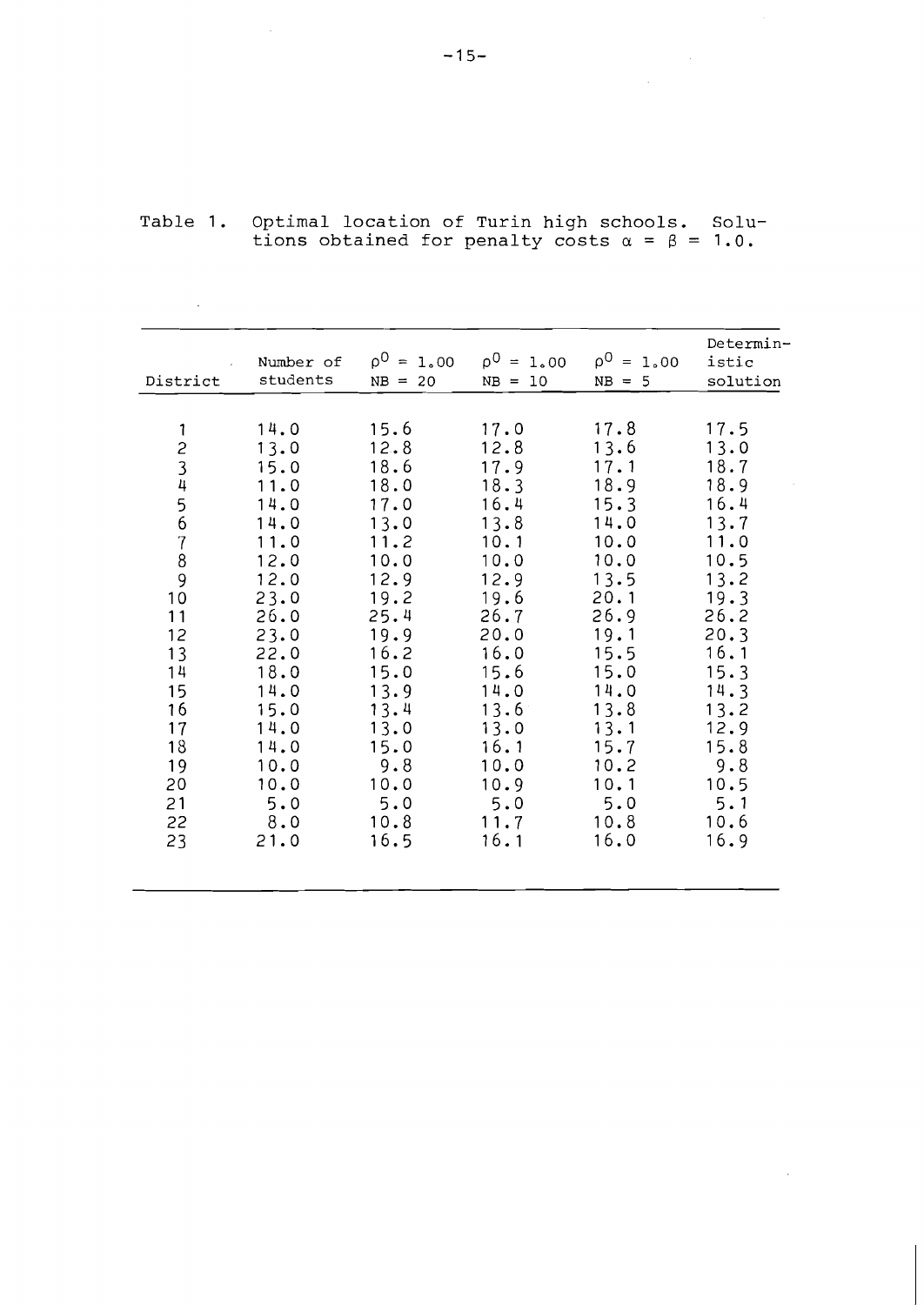| District                                                                                     | Number of<br>students                                                                                                | $\rho^0 = 1.00$<br>$NB = 20$                                                                                         | $\rho^0 = 1.00$<br>- 10<br>$NB =$                                                                                    | $\rho^0 = 1.00$<br>$NB = 5$                                                                                          | Determin-<br>istic<br>solution                                                                                       |
|----------------------------------------------------------------------------------------------|----------------------------------------------------------------------------------------------------------------------|----------------------------------------------------------------------------------------------------------------------|----------------------------------------------------------------------------------------------------------------------|----------------------------------------------------------------------------------------------------------------------|----------------------------------------------------------------------------------------------------------------------|
| 1<br>23456<br>$\begin{array}{c} 7 \\ 8 \\ 9 \end{array}$<br>10<br>11<br>12<br>13<br>14<br>15 | 14.0<br>13.0<br>15.0<br>11.0<br>14.0<br>14.0<br>11.0<br>12.0<br>12.0<br>23.0<br>26.0<br>23.0<br>22.0<br>18.0<br>14.0 | 15.6<br>12.8<br>18.6<br>18.0<br>17.0<br>13.0<br>11.2<br>10.0<br>12.9<br>19.2<br>25.4<br>19.9<br>16.2<br>15.0<br>13.9 | 17.0<br>12.8<br>17.9<br>18.3<br>16.4<br>13.8<br>10.1<br>10.0<br>12.9<br>19.6<br>26.7<br>20.0<br>16.0<br>15.6<br>14.0 | 17.8<br>13.6<br>17.1<br>18.9<br>15.3<br>14.0<br>10.0<br>10.0<br>13.5<br>20.1<br>26.9<br>19.1<br>15.5<br>15.0<br>14.0 | 17.5<br>13.0<br>18.7<br>18.9<br>16.4<br>13.7<br>11.0<br>10.5<br>13.2<br>19.3<br>26.2<br>20.3<br>16.1<br>15.3<br>14.3 |
| 16<br>17<br>18<br>19<br>20<br>21<br>22<br>23                                                 | 15.0<br>14.0<br>14.0<br>10.0<br>10.0<br>5.0<br>8.0<br>21.0                                                           | 13.4<br>13.0<br>15.0<br>9.8<br>10.0<br>5.0<br>10.8<br>16.5                                                           | 13.6<br>13.0<br>16.1<br>10.0<br>10.9<br>5.0<br>11.7<br>16.1                                                          | 13.8<br>13.1<br>15.7<br>10.2<br>10.1<br>5.0<br>10.8<br>16.0                                                          | 13.2<br>12.9<br>15.8<br>9.8<br>10.5<br>5.1<br>10.6<br>16.9                                                           |

Table 1. Optimal location of Turin high schools. Solutions obtained for penalty costs a = **B** = 1.0.

 $\label{eq:2.1} \begin{split} \mathcal{L}_{\text{max}}(\mathbf{r}) = \mathcal{L}_{\text{max}}(\mathbf{r}) \mathcal{L}_{\text{max}}(\mathbf{r}) \end{split}$ 

 $\sim$ 

 $\sim 10$ 

 $\mathcal{L}(\mathcal{A})$  and  $\mathcal{L}(\mathcal{A})$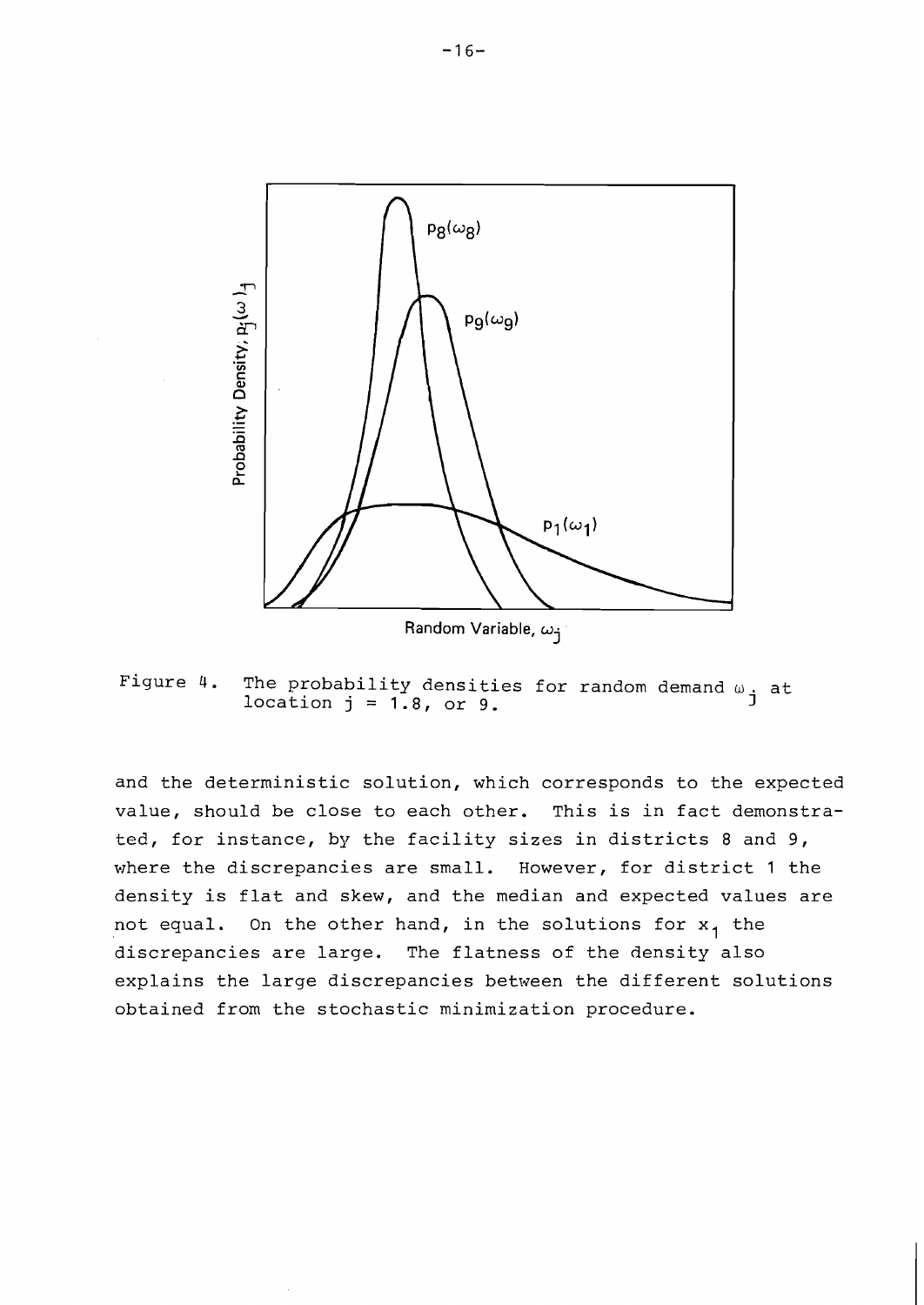

Figure 4. The probability densities for random demand  $\omega$ , at location  $j = 1.8$ , or 9.  $j = 1.8$ 

and the deterministic solution, which corresponds to the expected value, should be close to each other. This is in fact demonstrated, for instance, by the facility sizes in districts 8 and 9, where the discrepancies are small. However, for district 1 the density is flat and skew, and the median and expected values are not equal. On the other hand, in the solutions for  $x_1$  the discrepancies are large. The flatness of the density also explains the large discrepancies between the different solutions obtained from the stochastic minimization procedure.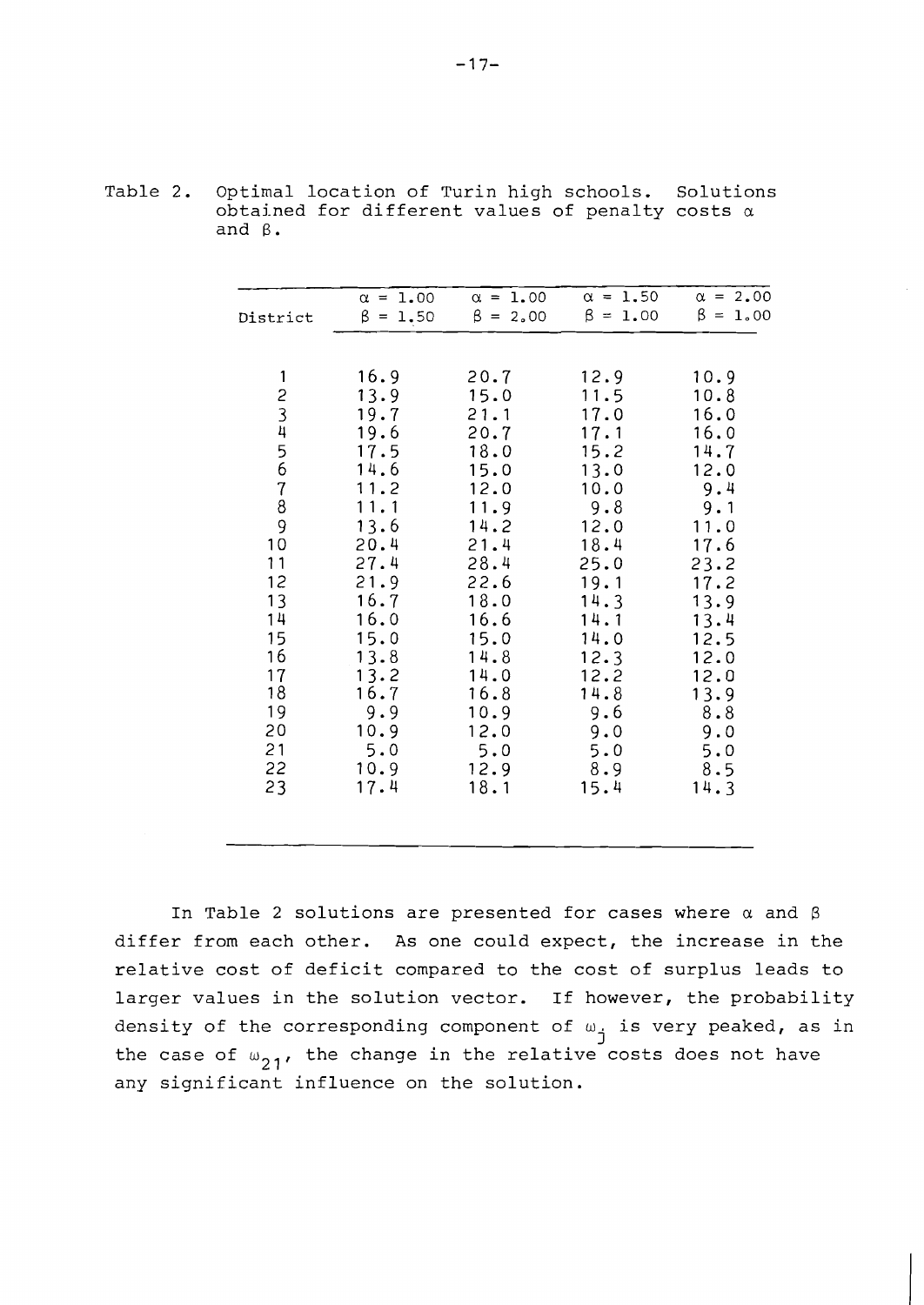| District                                                                                                                                                                         | $\alpha = 1.00$<br>$\beta = 1.50$                                                                                                                                                  | $\alpha = 1.00$<br>$\beta = 2.00$                                                                                                                                                   | $\alpha = 1.50$<br>$\beta = 1.00$                                                                                                                                               | $\alpha = 2.00$<br>$\beta = 1.00$                                                                                                                                              |
|----------------------------------------------------------------------------------------------------------------------------------------------------------------------------------|------------------------------------------------------------------------------------------------------------------------------------------------------------------------------------|-------------------------------------------------------------------------------------------------------------------------------------------------------------------------------------|---------------------------------------------------------------------------------------------------------------------------------------------------------------------------------|--------------------------------------------------------------------------------------------------------------------------------------------------------------------------------|
| 1<br>$\begin{array}{c} 2 \\ 3 \\ 4 \end{array}$<br>$\frac{5}{6}$<br>$\overline{7}$<br>8<br>9<br>10<br>11<br>12<br>13<br>14<br>15<br>16<br>17<br>18<br>19<br>20<br>21<br>22<br>23 | 16.9<br>13.9<br>19.7<br>19.6<br>17.5<br>14.6<br>11.2<br>11.1<br>13.6<br>20.4<br>27.4<br>21.9<br>16.7<br>16.0<br>15.0<br>13.8<br>13.2<br>16.7<br>9.9<br>10.9<br>5.0<br>10.9<br>17.4 | 20.7<br>15.0<br>21.1<br>20.7<br>18.0<br>15.0<br>12.0<br>11.9<br>14.2<br>21.4<br>28.4<br>22.6<br>18.0<br>16.6<br>15.0<br>14.8<br>14.0<br>16.8<br>10.9<br>12.0<br>5.0<br>12.9<br>18.1 | 12.9<br>11.5<br>17.0<br>17.1<br>15.2<br>13.0<br>10.0<br>9.8<br>12.0<br>18.4<br>25.0<br>19.1<br>14.3<br>14.1<br>14.0<br>12.3<br>12.2<br>14.8<br>9.6<br>9.0<br>5.0<br>8.9<br>15.4 | 10.9<br>10.8<br>16.0<br>16.0<br>14.7<br>12.0<br>9.4<br>9.1<br>11.0<br>17.6<br>23.2<br>17.2<br>13.9<br>13.4<br>12.5<br>12.0<br>12.0<br>13.9<br>8.8<br>9.0<br>5.0<br>8.5<br>14.3 |
|                                                                                                                                                                                  |                                                                                                                                                                                    |                                                                                                                                                                                     |                                                                                                                                                                                 |                                                                                                                                                                                |

Table 2. Optimal location of Turin high schools. Solutions obtained for different values of penalty costs *a*  and **B.** 

In Table 2 solutions are presented for cases where *a* and differ from each other. As one could expect, the increase in the relative cost of deficit compared to the cost of surplus leads to larger values in the solution vector. If however, the probability density of the corresponding component of  $\omega_{\mathbf{i}}$  is very peaked, as in the case of  $\omega_{2,1}$ , the change in the relative costs does not have any significant influence on the solution.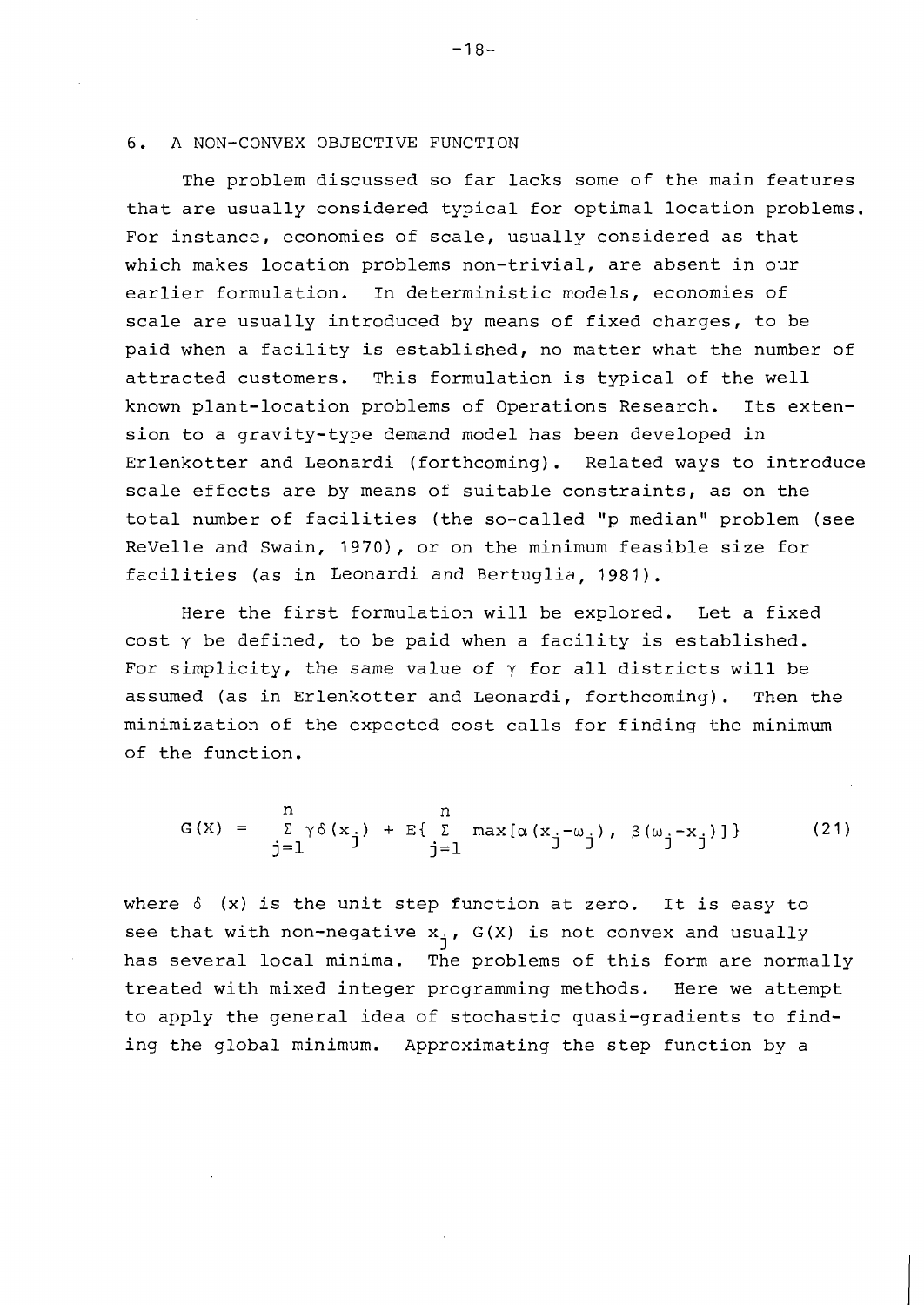#### 6. A NON-CONVEX OBJECTIVE FUNCTION

The problem discussed so far lacks some of the main features that are usually considered typical for optimal location problems, For instance, economies of scale, usually considered as that which makes location problems non-trivial, are absent in our earlier formulation. In deterministic models, economies of scale are usually introduced by means of fixed charges, to be paid when a facility is established, no matter what the number of attracted customers. This formulation is typical of the well known plant-location problems of Operations Research. Its extension to a gravity-type demand model has been developed in Erlenkotter and Leonardi (forthcoming). Related ways to introduce scale effects are by means of suitable constraints, as on the total number of facilities (the so-called **"p** median" problem (see ReVelle and Swain, 1970), or on the minimum feasible size for facilities (as in Leonardi and Bertuglia, 1981).

Here the first formulation will be explored. Let a fixed cost  $\gamma$  be defined, to be paid when a facility is established. For simplicity, the same value of  $\gamma$  for all districts will be assumed (as in Erlenkotter and Leonardi, forthcoming). Then the minimization of the expected cost calls for finding the minimum of the function.

$$
G(X) = \sum_{j=1}^{n} \gamma \delta(x_j) + E\{\sum_{j=1}^{n} \max[\alpha(x_j - \omega_j), \beta(\omega_j - x_j)]\}
$$
 (21)

where  $\delta$  (x) is the unit step function at zero. It is easy to see that with non-negative x<sub>j</sub>, G(X) is not convex and usually<br>has several local minima. The problems of this form are normally treated with mixed integer programming methods. Here we attempt to apply the general idea of stochastic quasi-gradients to finding the global minimum. Approximating the step function by a

 $-18-$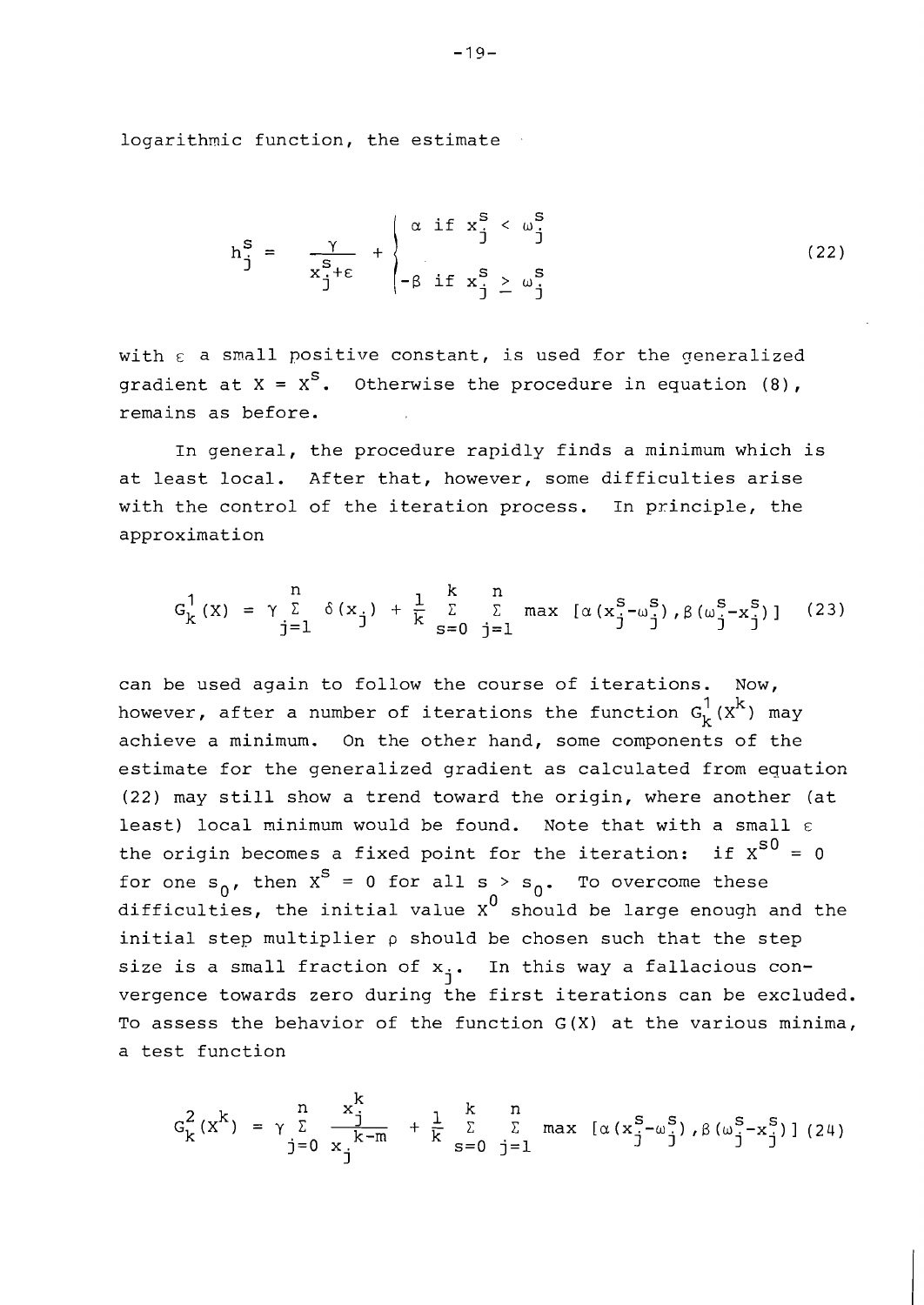logarithmic function, the estimate

$$
h_j^s = \frac{\gamma}{x_j^{s+\epsilon}} + \begin{cases} \alpha & \text{if } x_j^s < \omega_j^s \\ -\beta & \text{if } x_j^s \ge \omega_j^s \end{cases}
$$
\n
$$
(22)
$$

with  $\varepsilon$  a small positive constant, is used for the generalized gradient at  $X = X^S$ . Otherwise the procedure in equation (8), remains as before.

In general, the procedure rapidly finds a minimum which is at least local. After that, however, some difficulties arise with the control of the iteration process. In principle, the approximation

$$
G_{k}^{1}(x) = \gamma \sum_{j=1}^{n} \delta(x_{j}) + \frac{1}{k} \sum_{s=0}^{k} \sum_{j=1}^{n} \max [\alpha(x_{j}^{s} - \omega_{j}^{s}), \beta(\omega_{j}^{s} - x_{j}^{s})]
$$
(23)

can be used again to follow the course of iterations. Now, however, after a number of iterations the function  $G_k^1(x^k)$  may achieve a minimum. On the other hand, some components of the estimate for the generalized gradient as calculated from equation (22) may still show a trend toward the origin, where another (at least) local minimum would be found. Note that with a small  $\varepsilon$ the origin becomes a fixed point for the iteration: if  $x^{s0} = 0$ for one  $s_{n}$ , then  $x^{s} = 0$  for all  $s > s_{0}$ . To overcome these difficulties, the initial value  $x^0$  should be large enough and the initial step multiplier **p** should be chosen such that the step size is a small fraction of  $x_j$ . In this way a fallacious convergence towards zero during the first iterations can be excluded. To assess the behavior of the function G(X) at the various minima, a test function

$$
G_{k}^{2}(x^{k}) = \gamma \sum_{j=0}^{n} \frac{x_{j}^{k}}{x_{j}^{k-m}} + \frac{1}{k} \sum_{s=0}^{k} \sum_{j=1}^{n} \max (\alpha (x_{j}^{s} - \omega_{j}^{s}), \beta (\omega_{j}^{s} - x_{j}^{s})] (24)
$$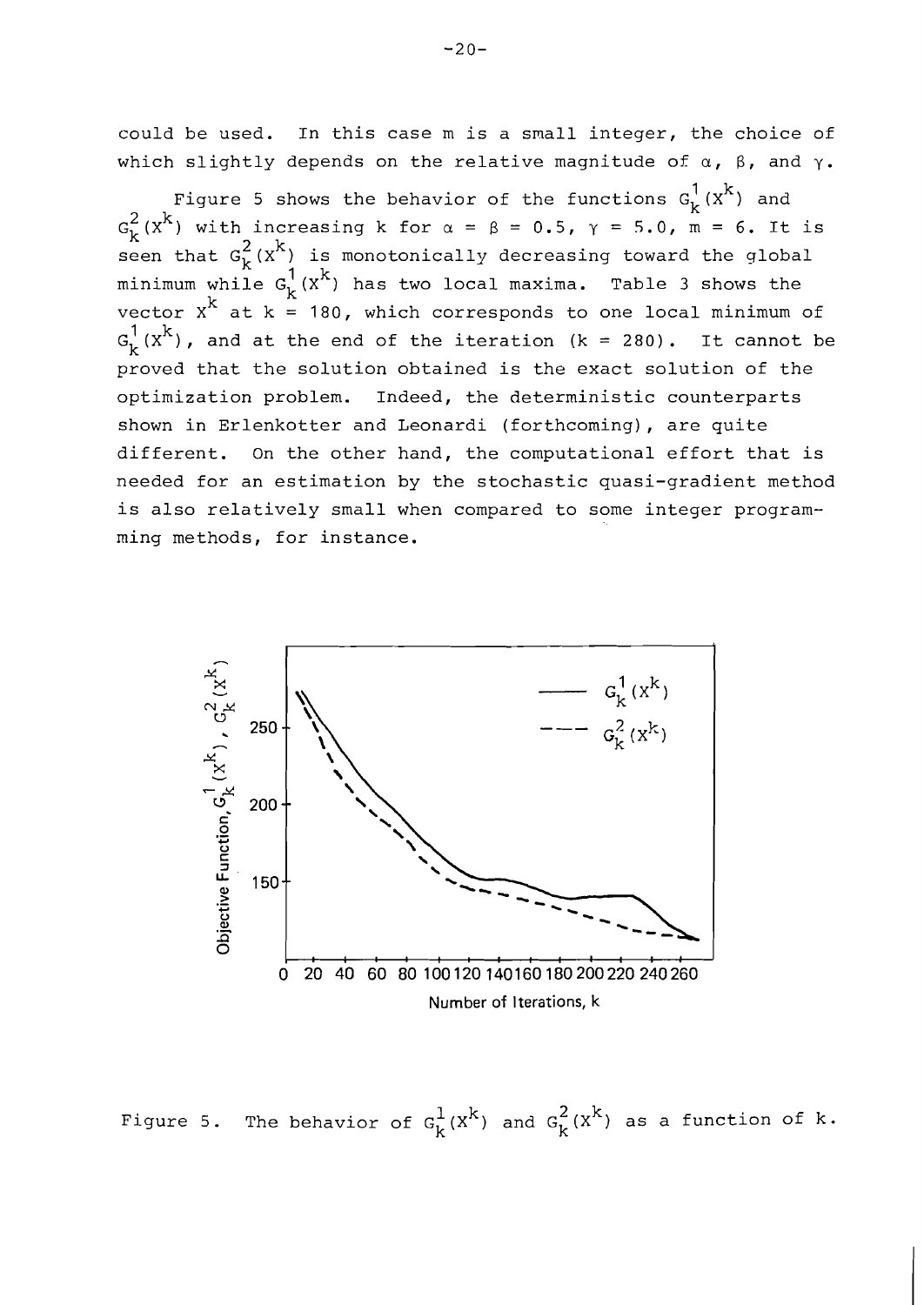could be used. In this case m is a small integer, the choice of which slightly depends on the relative magnitude of a, **B,** and y.

Figure 5 shows the behavior of the functions  $G_k^1(x^k)$  and  $G_k^2$  (X<sup>k</sup>) with increasing k for  $\alpha = \beta = 0.5$ ,  $\gamma = 5.0$ ,  $\overline{m} = 6$ . It is seen that  $G_k^2(x^k)$  is monotonically decreasing toward the global minimum while  $G_k^1(x^k)$  has two local maxima. Table 3 shows the vector  $X^k$  at  $k = 180$ , which corresponds to one local minimum of  $G_L^1(x^k)$ , and at the end of the iteration (k = 280). It cannot be proved that the solution obtained is the exact solution of the optimization problem. Indeed, the deterministic counterparts shown in Erlenkotter and Leonardi (forthcoming), are quite different. On the other hand, the computational effort that is needed for an estimation by the stochastic quasi-gradient method is also relatively small when compared to some integer programming methods, for instance.



Figure 5. The behavior of  $G_k^1(x^k)$  and  $G_k^2(x^k)$  as a function of k.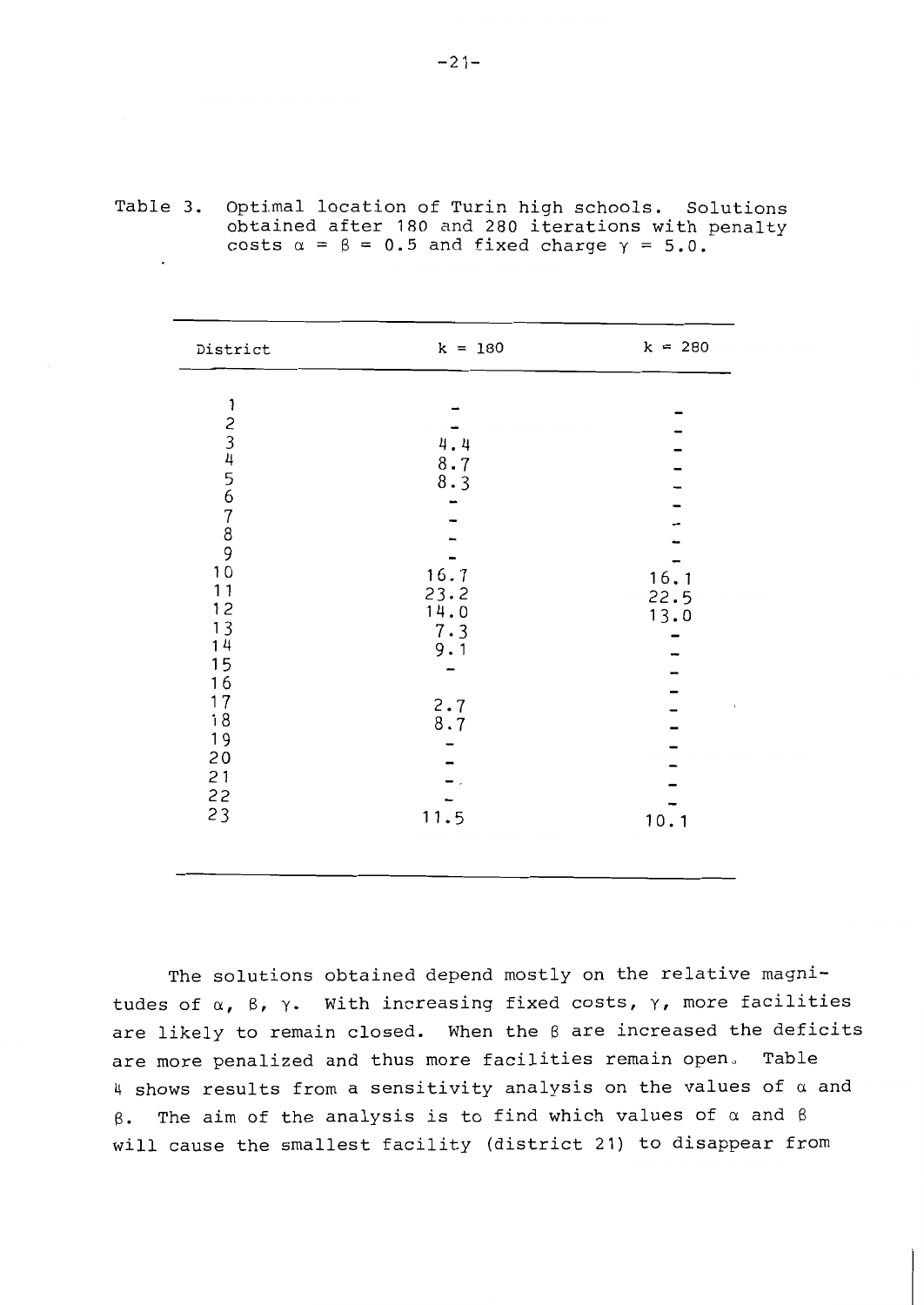| District                                                                                                                                                              | $k = 180$                                                                 | $k = 280$                    |
|-----------------------------------------------------------------------------------------------------------------------------------------------------------------------|---------------------------------------------------------------------------|------------------------------|
| 1<br>2<br>3<br>4<br>5<br>6<br>7<br>8<br>9<br>0<br>$11$<br>$\begin{array}{c} 12 \\ 13 \end{array}$<br>14<br>15<br>16<br>17<br>$18$<br>19<br>20<br>$21$<br>$22$<br>$23$ | 4.4<br>8.7<br>8.3<br>16.7<br>23.2<br>14.0<br>7.3<br>9.1<br>2.78.7<br>11.5 | 16.1<br>22.5<br>13.0<br>10.1 |
|                                                                                                                                                                       |                                                                           |                              |

| Table 3. Optimal location of Turin high schools. Solutions     |
|----------------------------------------------------------------|
| obtained after 180 and 280 iterations with penalty             |
| costs $\alpha = \beta = 0.5$ and fixed charge $\gamma = 5.0$ . |

The solutions obtained depend mostly on the relative magnitudes of  $\alpha$ ,  $\beta$ ,  $\gamma$ . With increasing fixed costs,  $\gamma$ , more facilities are likely to remain closed. When the ß are increased the deficits are more penalized and thus more facilities remain open, Table 4 shows results from a sensitivity analysis on the values of  $\alpha$  and B. The aim of the analysis is to find which values of *a* and B will cause the smallest facility (district 21) to disappear from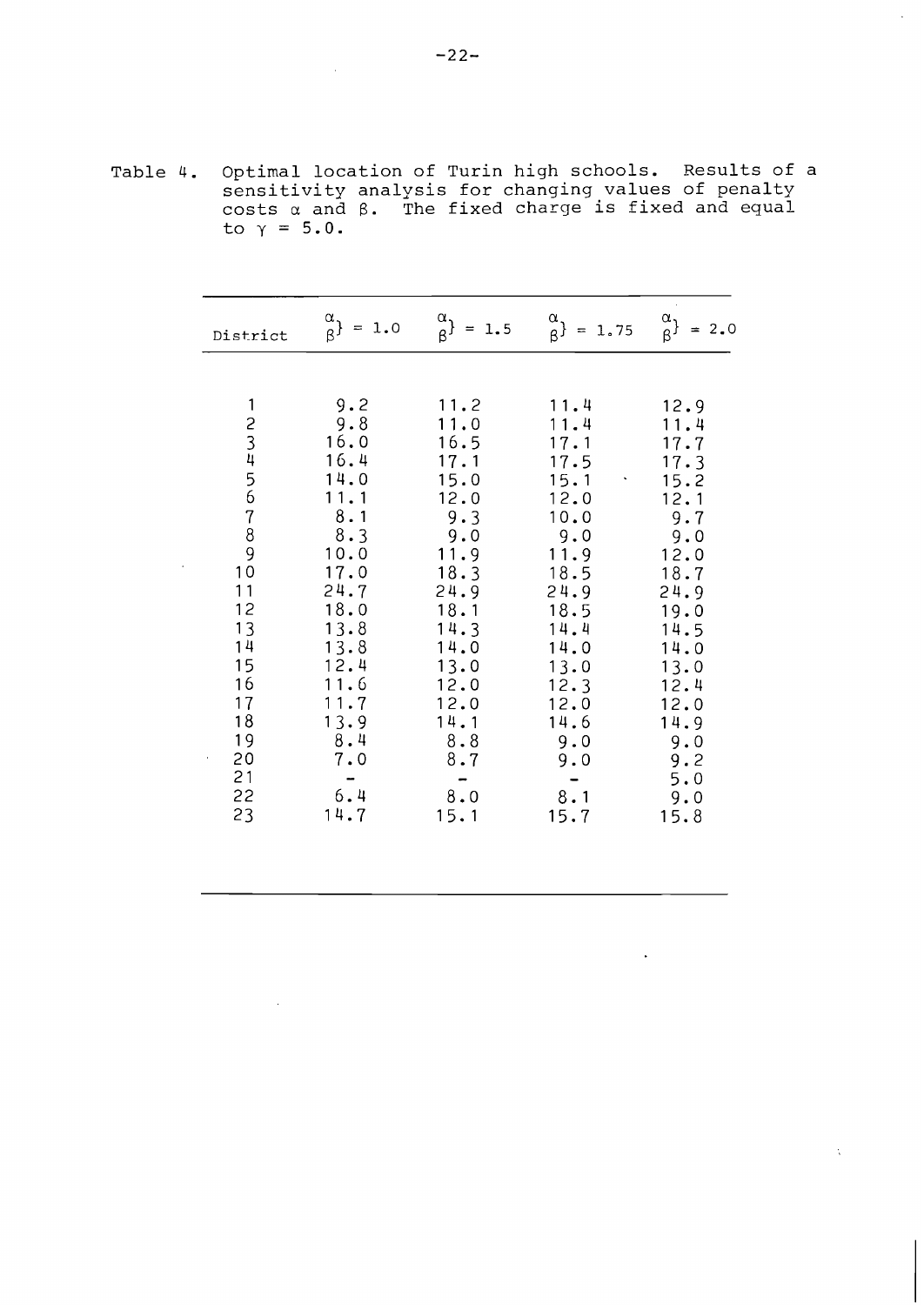Table 4. Optimal location of Turin high schools. Results of a sensitivity analysis for changing values of penalty costs a and  $\beta$ . The fixed charge is fixed and equal to  $\gamma = 5.0$ .

| District                                                                                          | $\begin{matrix} \alpha \\ \beta \end{matrix}$ = 1.0                                                                                                                   | $\frac{\alpha}{\beta}$ }<br>$= 1.5$                                                                                                                                     | $\binom{\alpha}{\beta} = 1.75$                                                                                                                                           | $\frac{\alpha}{\beta}$<br>$= 2.0$                                                                                                                                              |
|---------------------------------------------------------------------------------------------------|-----------------------------------------------------------------------------------------------------------------------------------------------------------------------|-------------------------------------------------------------------------------------------------------------------------------------------------------------------------|--------------------------------------------------------------------------------------------------------------------------------------------------------------------------|--------------------------------------------------------------------------------------------------------------------------------------------------------------------------------|
| 1<br>23456789<br>10<br>11<br>12<br>13<br>14<br>15<br>16<br>17<br>18<br>19<br>20<br>21<br>22<br>23 | 9.2<br>9.8<br>16.0<br>16.4<br>14.0<br>11.1<br>8.1<br>8.3<br>10.0<br>17.0<br>24.7<br>18.0<br>13.8<br>13.8<br>12.4<br>11.6<br>11.7<br>13.9<br>8.4<br>7.0<br>6.4<br>14.7 | 11.2<br>11.0<br>16.5<br>17.1<br>15.0<br>12.0<br>9.3<br>9.0<br>11.9<br>18.3<br>24.9<br>18.1<br>14.3<br>14.0<br>13.0<br>12.0<br>12.0<br>14.1<br>8.8<br>8.7<br>8.0<br>15.1 | 11.4<br>11.4<br>17.1<br>17.5<br>15.1<br>12.0<br>10.0<br>9.0<br>11.9<br>18.5<br>24.9<br>18.5<br>14.4<br>14.0<br>13.0<br>12.3<br>12.0<br>14.6<br>9.0<br>9.0<br>8.1<br>15.7 | 12.9<br>11.4<br>17.7<br>17.3<br>15.2<br>12.1<br>9.7<br>9.0<br>12.0<br>18.7<br>24.9<br>19.0<br>14.5<br>14.0<br>13.0<br>12.4<br>12.0<br>14.9<br>9.0<br>9.2<br>5.0<br>9.0<br>15.8 |
|                                                                                                   |                                                                                                                                                                       |                                                                                                                                                                         |                                                                                                                                                                          |                                                                                                                                                                                |

 $\Delta$ 

 $\Delta$ 

 $\sim$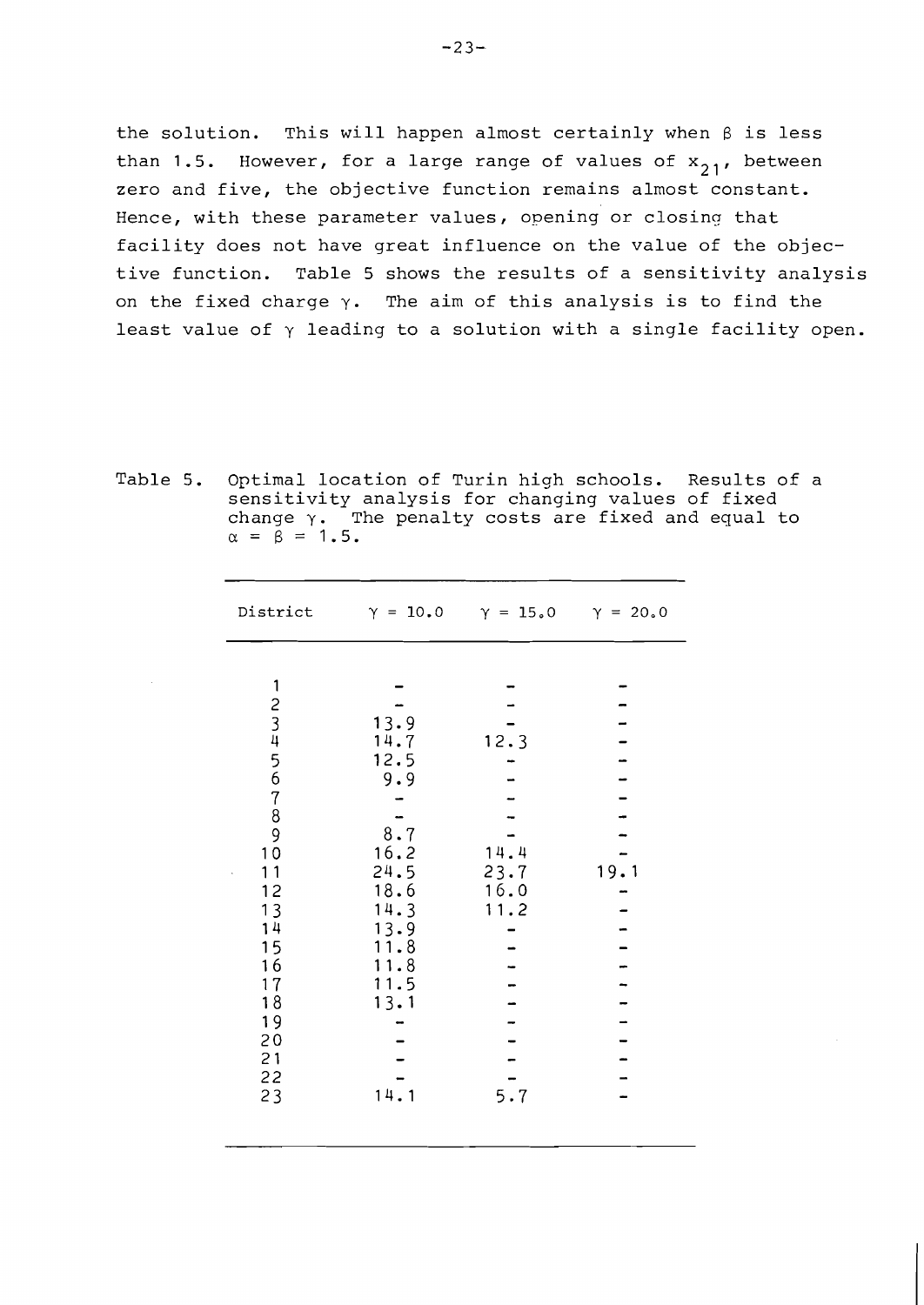the solution. This will happen almost certainly when  $\beta$  is less than 1.5. However, for a large range of values of  $x_{21}$ , between zero and five, the objective function remains almost constant. Hence, with these parameter values, opening or closinq that facility does not have great influence on the value of the objective function. Table 5 shows the results of a sensitivity analysis on the fixed charge  $\gamma$ . The aim of this analysis is to find the least value of  $\gamma$  leading to a solution with a single facility open.

Table 5. Optimal location of Turin high schools. Results of a sensitivity analysis for changing values of fixed change  $\gamma$ . The penalty costs are fixed and equal to  $\alpha = \beta = 1.5$ .

| District                                                                                                       | $\gamma = 10.0 \quad \gamma = 15.0 \quad \gamma = 20.0$                                                            |                                             |      |
|----------------------------------------------------------------------------------------------------------------|--------------------------------------------------------------------------------------------------------------------|---------------------------------------------|------|
| $\mathbf{1}$<br>23456789<br>10<br>11<br>12<br>13<br>14<br>15<br>16<br>$17$<br>18<br>19<br>20<br>21<br>22<br>23 | 13.9<br>14.7<br>12.5<br>9.9<br>8.7<br>16.2<br>24.5<br>18.6<br>14.3<br>13.9<br>11.8<br>11.8<br>11.5<br>13.1<br>14.1 | 12.3<br>14.4<br>23.7<br>16.0<br>11.2<br>5.7 | 19.1 |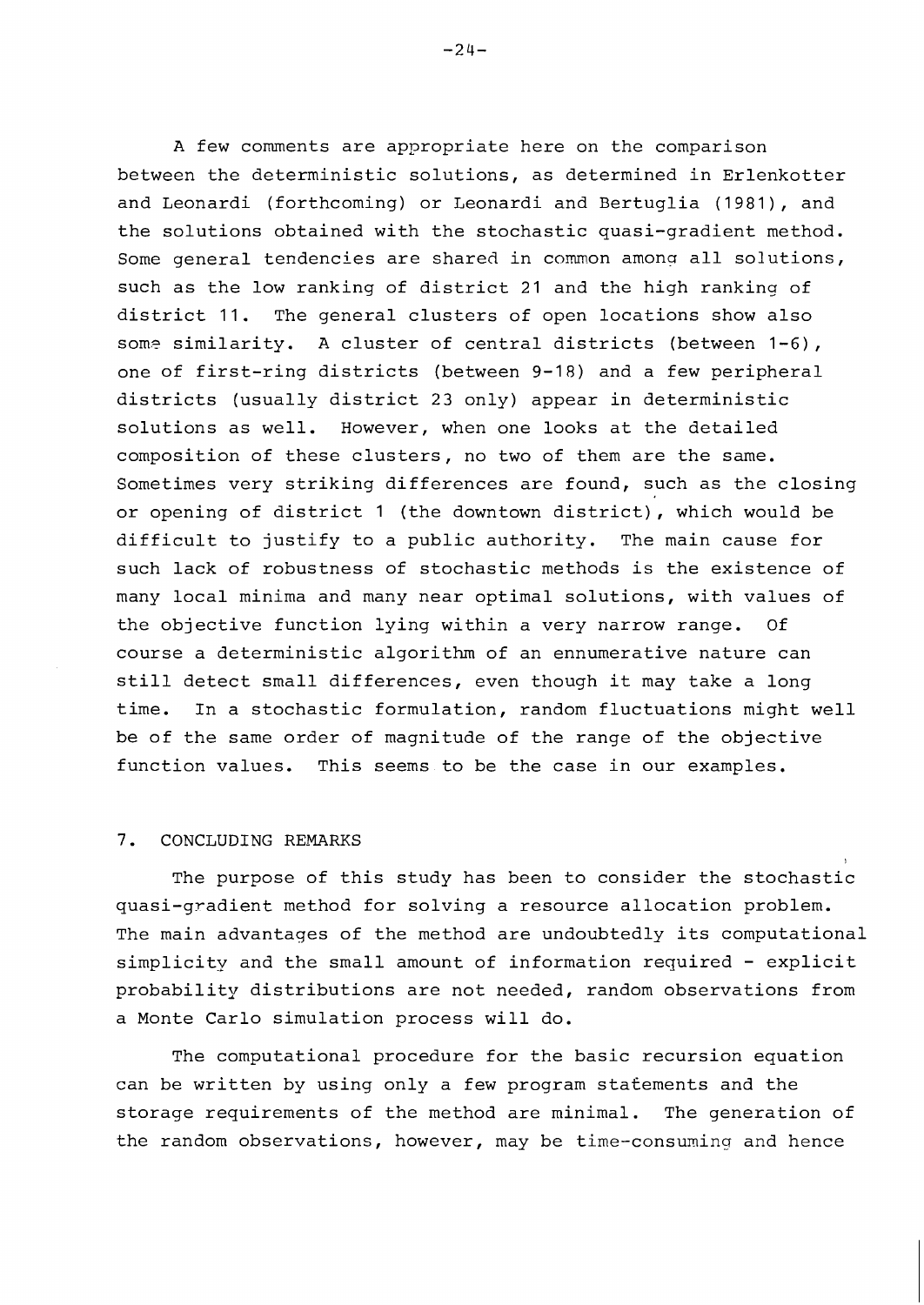A few comments are appropriate here on the comparison between the deterministic solutions, as determined in Erlenkotter and Leonardi (forthcoming) or Leonardi and Bertuglia (1981), and the solutions obtained with the stochastic quasi-gradient method. Some general tendencies are shared in common among all solutions, such as the low ranking of district 21 and the high ranking of district 11. The general clusters of open locations show also some similarity. A cluster of central districts (between 1-6), one of first-ring districts (between 9-18) and a few peripheral districts (usually district 23 only) appear in deterministic solutions as well. However, when one looks at the detailed composition of these clusters, no two of them are the same. Sometimes very striking differences are found, such as the closing or opening of district 1 (the downtown district), which would be difficult to justify to a public authority. The main cause for such lack of robustness of stochastic methods is the existence of many local minima and many near optimal solutions, with values of the objective function lying within a very narrow range. Of course a deterministic algorithm of an ennumerative nature can still detect small differences, even though it may take a long time. In a stochastic formulation, random fluctuations might well be of the same order of magnitude of the range of the objective function values. This seems to be the case in our examples.

#### 7. CONCLUDING REMARKS

The purpose of this study has been to consider the stochastic quasi-gradient method for solving a resource allocation problem. The main advantages of the method are undoubtedly its computational simplicity and the small amount of information required - explicit probability distributions are not needed, random observations from a Monte Carlo simulation process will do.

The computational procedure for the basic recursion equation can be written by using only a few program statements and the storage requirements of the method are minimal. The generation of the random observations, however, may be time-consuming and hence

 $-24-$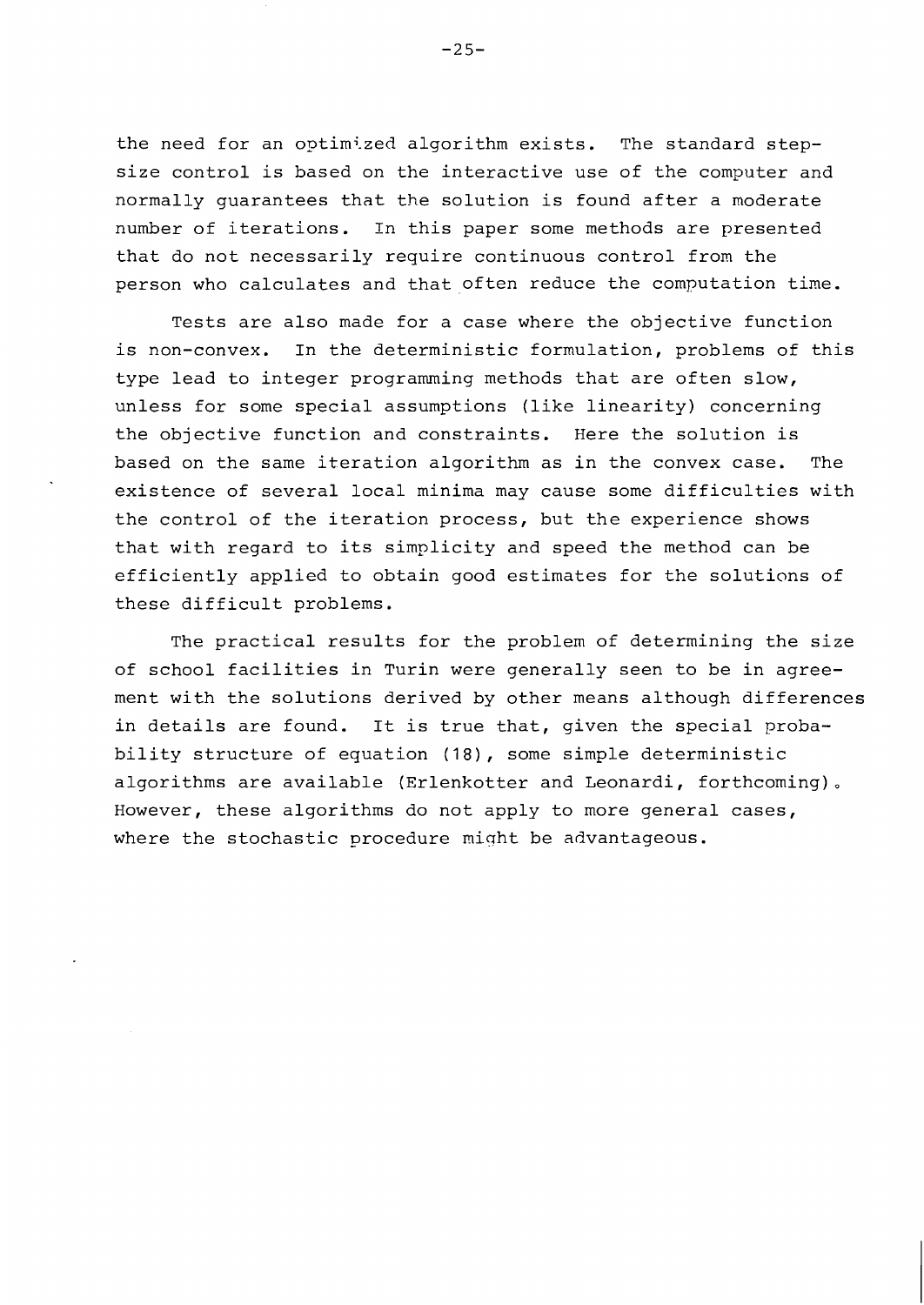the need for an optimized algorithm exists. The standard stepsize control is based on the interactive use of the computer and normally guarantees that the solution is found after a moderate number of iterations. In this paper some methods are presented that do not necessarily require continuous control from the person who calculates and that often reduce the computation time.

Tests are also made for a case where the objective function is non-convex. In the deterministic formulation, problems of this type lead to integer programming methods that are often slow, unless for some special assumptions (like linearity) concerning the objective function and constraints. Here the solution is based on the same iteration algorithm as in the convex case. The existence of several local minima may cause some difficulties with the control of the iteration process, but the experience shows that with regard to its simplicity and speed the method can be efficiently applied to obtain good estimates for the solutions of these difficult problems.

The practical results for the problem of determining the size of school facilities in Turin were generally seen to be in agreement with the solutions derived by other means although differences in details are found. It is true that, given the special probability structure of equation (18), some simple deterministic algorithms are available (Erlenkotter and Leonardi, forthcoming), However, these algorithms do not apply to more general cases, where the stochastic procedure might be advantageous.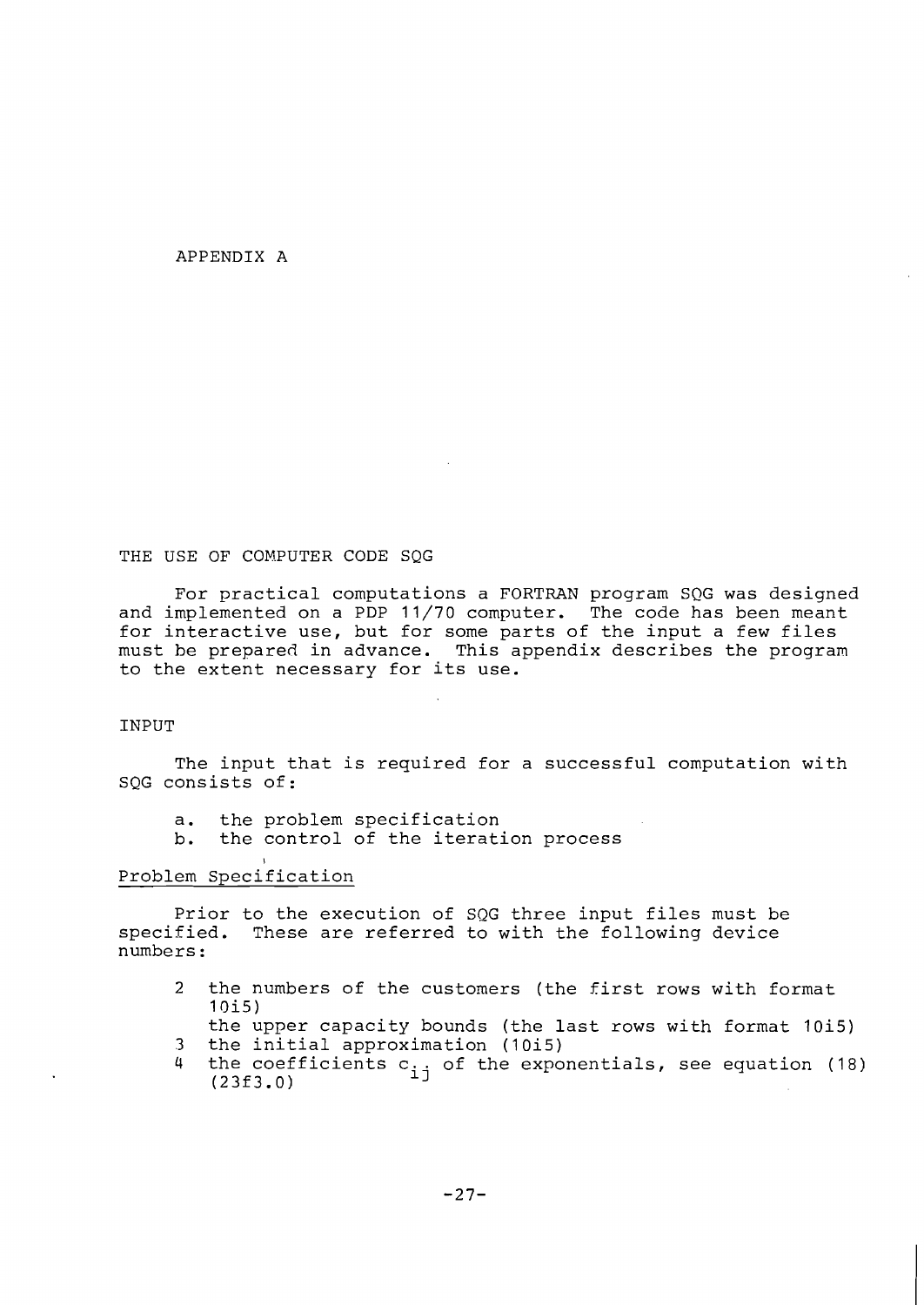#### APPENDIX A

#### THE USE OF COMPUTER CODE SQG

For practical computations a FORTRAN program SQG was designed and implemented on a PDP 11/70 computer. The code has been meant for interactive use, but for some parts of the input a few files must he prepared in advance. This appendix describes the program to the extent necessary for its use.

#### INPUT

The input that is required for a successful computation with SQG consists of:

- a. the problem specification<br>b. the control of the iterati
- the control of the iteration process

# Problem Specification

I

Prior to the execution of SQG three input files must be specified. These are referred to with the following device numbers :

- 2 the numbers of the customers (the first rows with format 1 Oi5)
	- the upper capacity bounds (the last rows with format 10i5)
- 3 the initial approximation (10i5)
- 4 the coefficients  $c_{i,j}$  of the exponentials, see equation (18) (23f3.0)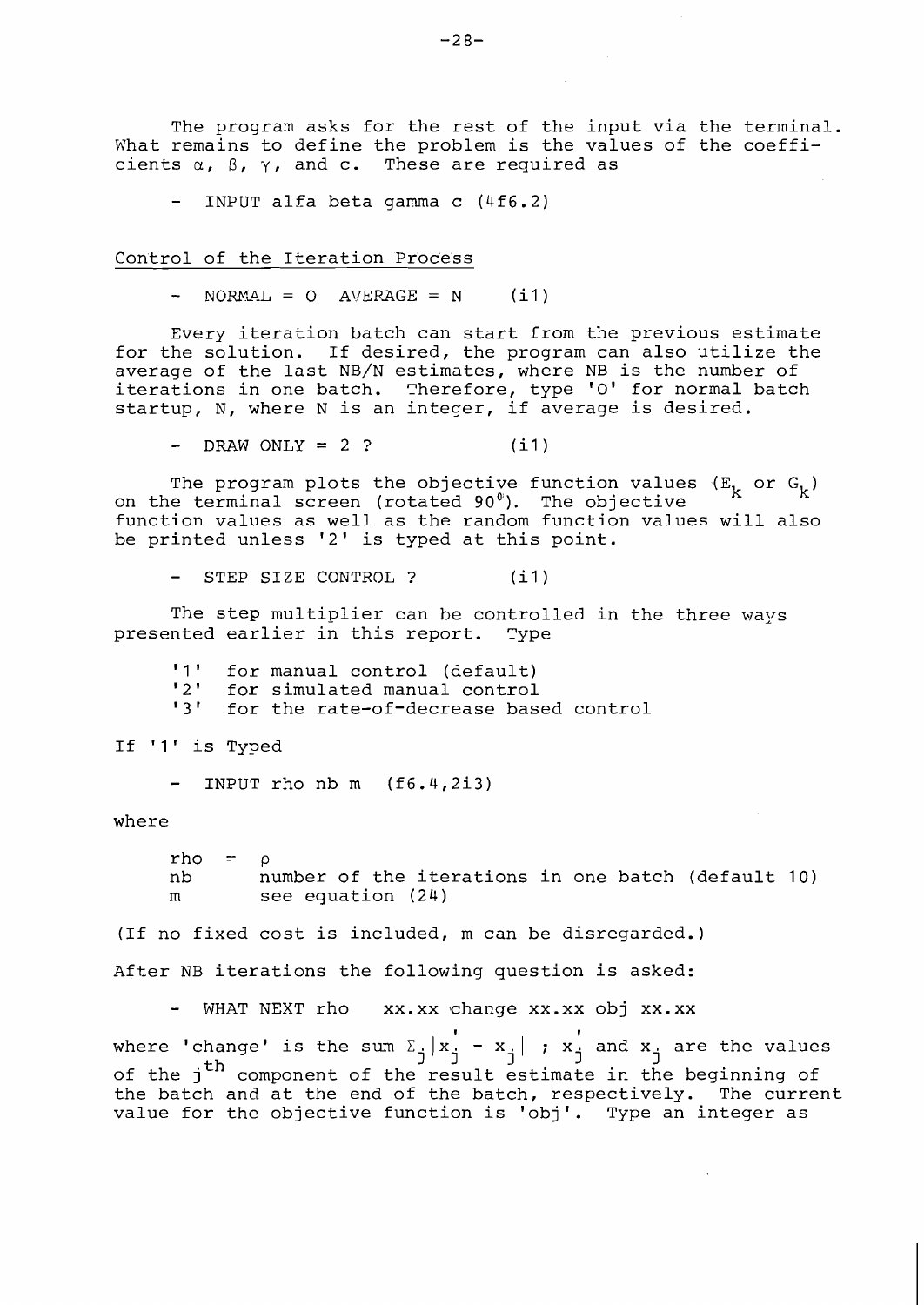The program asks for the rest of the input via the terminal.

- INPUT alfa beta gamma c (4f6.2)

Control of the Iteration Process

 $-$  NORMAL = 0 AVERAGE = N  $(i1)$ 

Every iteration batch can start from the previous estimate for the solution. If desired, the program can also utilize the average of the last NB/N estimates, where NB is the number of iterations in one batch. Therefore, type '0' for normal batch startup, N, where N is an integer, if average is desired.

 $-$  **DRAW** ONLY = 2 ? (i1)

The program plots the objective function values  $(E_k \text{ or } G_k)$ on the terminal screen (rotated 90"). The objective function values as well as the random function values will also be printed unless '2' is typed at this point.

STEP SIZE CONTROL ? (i1)

The step multiplier can be controlled in the three ways presented earlier in this report. Type

'1' for manual control (default)<br>'2' for simulated manual control '2' for simulated manual control<br>'3' for the rate-of-decrease base for the rate-of-decrease based control

If '1' is Typed

INPUT rho nb  $m$   $(f6.4, 2i3)$ 

where

rho =  $\circ$ nb number of the iterations in one batch (default 10) m see equation (24)

(If no fixed cost is included, m can be disregarded.)

After NB iterations the following question is asked:

- WHAT NEXT rho xx.xx change xx.xx obj xx.xx

where 'change' is the sum  $\Sigma$ <sub>i</sub>  $|x$ <sup>1</sup> -  $x$ <sup>1</sup><sub>1</sub> ;  $x$ <sup>1</sup><sub>1</sub> and  $x$ <sub>1</sub> are the values of the j<sup>th</sup> component of the result estimate in the beginning of the batch and at the end of the batch, respectively. The current value for the objective function is 'obj'. Type an integer as

What remains to define the problem is the values of the coeffi-<br>cients  $\alpha$ ,  $\beta$ ,  $\gamma$ , and c. These are required as These are required as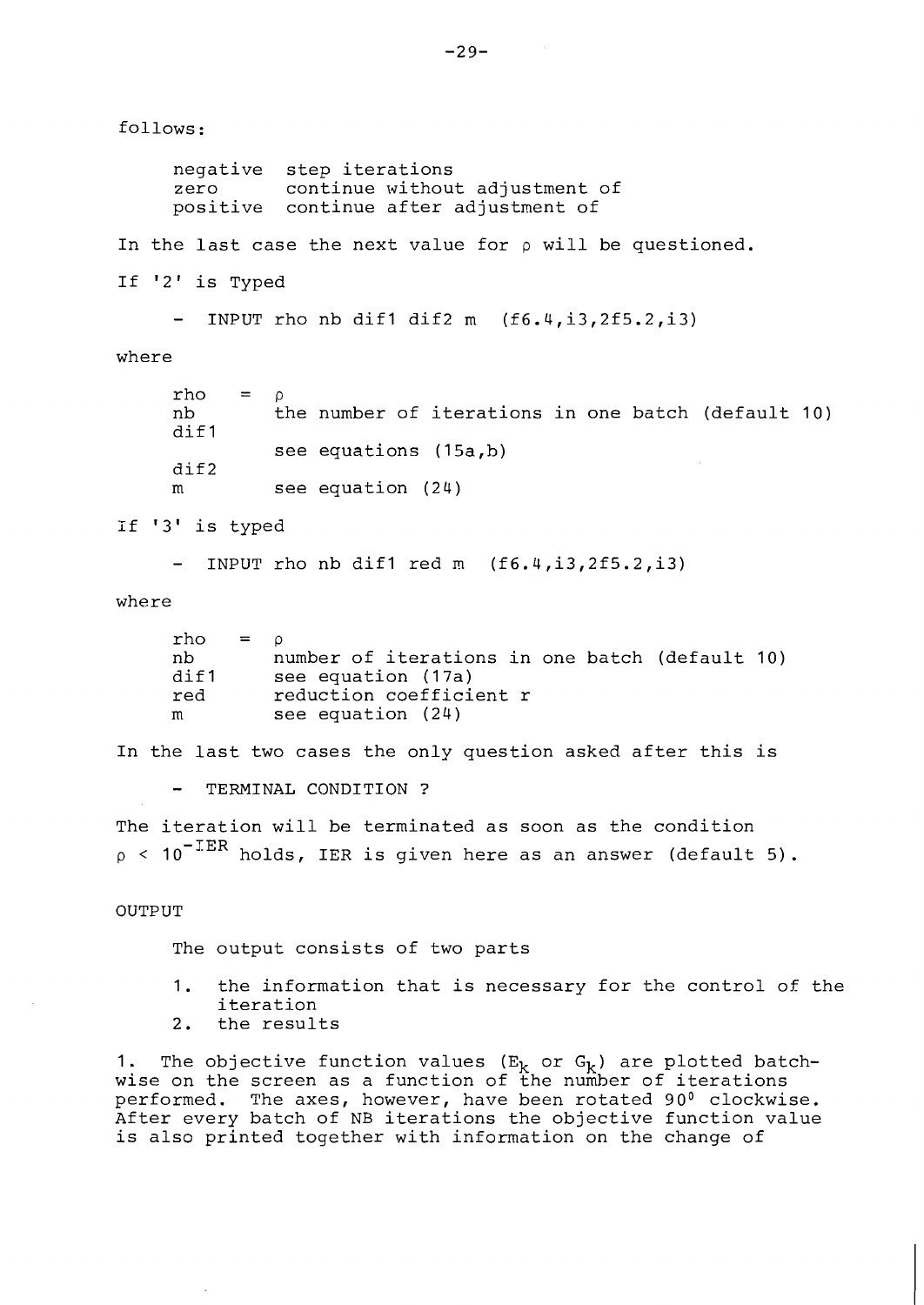follows:

negative step iterations zero continue without adjustment of positive continue after adjustment of

In the last case the next value for  $\rho$  will be questioned.

If '2' is Typed

- INPUT rho nb dif1 dif2 m  $(f6.4, i3, 2f5.2, i3)$ 

where

| rho<br>nb<br>dif1 | $=$ 0 |                        | the number of iterations in one batch (default 10) |  |  |  |
|-------------------|-------|------------------------|----------------------------------------------------|--|--|--|
| $\texttt{diff2}$  |       | see equations (15a, b) |                                                    |  |  |  |
| m                 |       | see equation $(24)$    |                                                    |  |  |  |

if '3' is typed

- INPUT rho nb dif1 red m (f6.4,i3,2f5.2,i3)

where

| $rho = o$ |                                                |
|-----------|------------------------------------------------|
| nb.       | number of iterations in one batch (default 10) |
| dif1      | see equation (17a)                             |
| red       | reduction coefficient r                        |
| m         | see equation (24)                              |

In the last two cases the only question asked after this is

- TERMINAL CONDITION ?

The iteration will be terminated as soon as the condition  $p \sim 10^{-\text{IER}}$  holds, IER is given here as an answer (default 5).

#### OUTPUT

The output consists of two parts

- 1. the information that is necessary for the control of the iteration
- 2. the results

1. The objective function values  $(E_k$  or  $G_k$ ) are plotted batchwise on the screen as a function of the number of iterations performed. The axes, however, have been rotated 90° clockwise. After every batch of NB iterations the objective function value is also printed together with information on the change of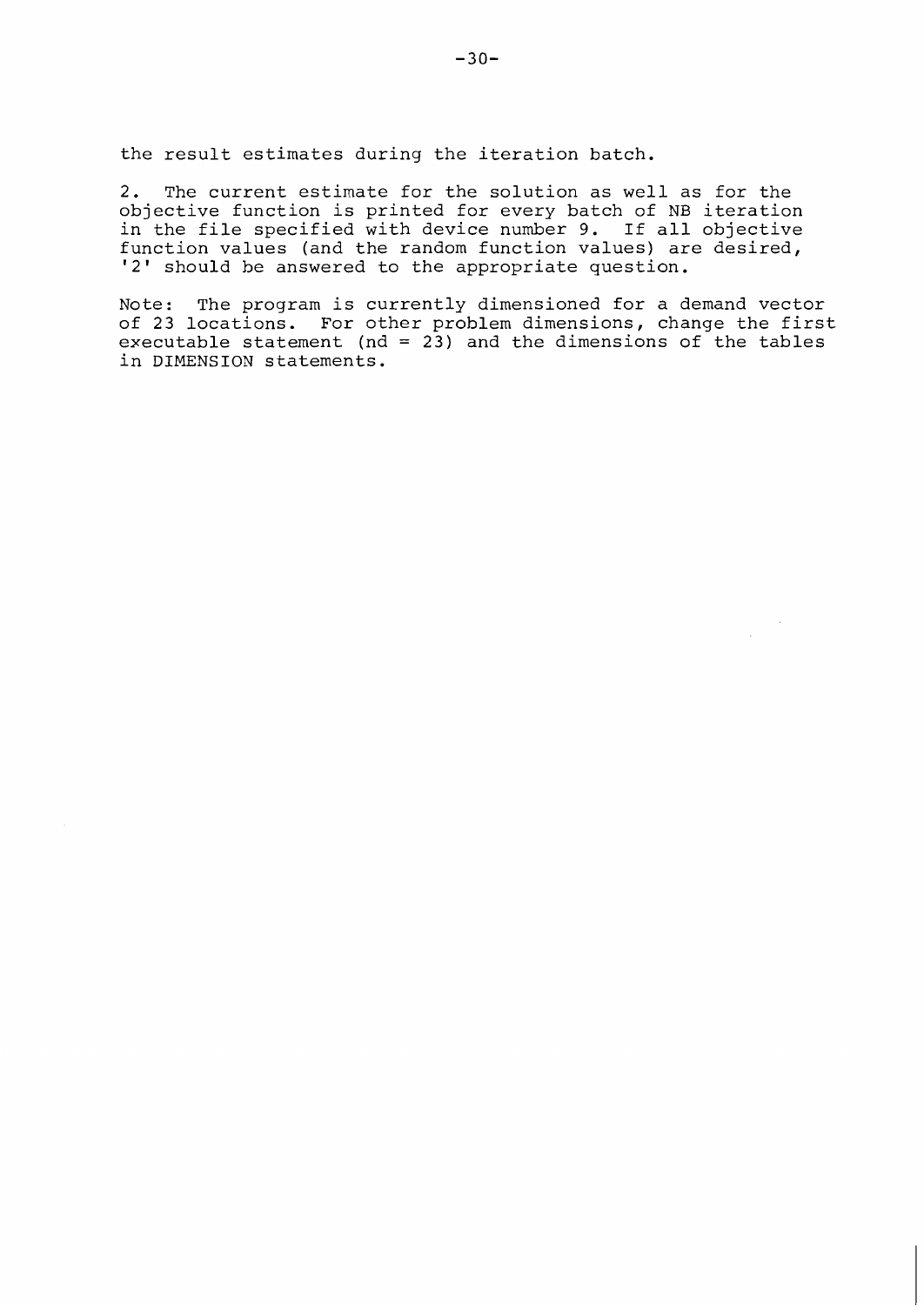the result estimates during the iteration batch.

2. The current estimate for the solution as well as for the objective function is printed for every batch of NB iteration in the file specified with device number 9. If all objective function values (and the random function values) are desired, '2' should he answered to the appropriate question.

Note: The program is currently dimensioned for a demand vector of 23 locations. For other problem dimensions, change the first executable statement ( $nd = 23$ ) and the dimensions of the tables in DIMENSION statements.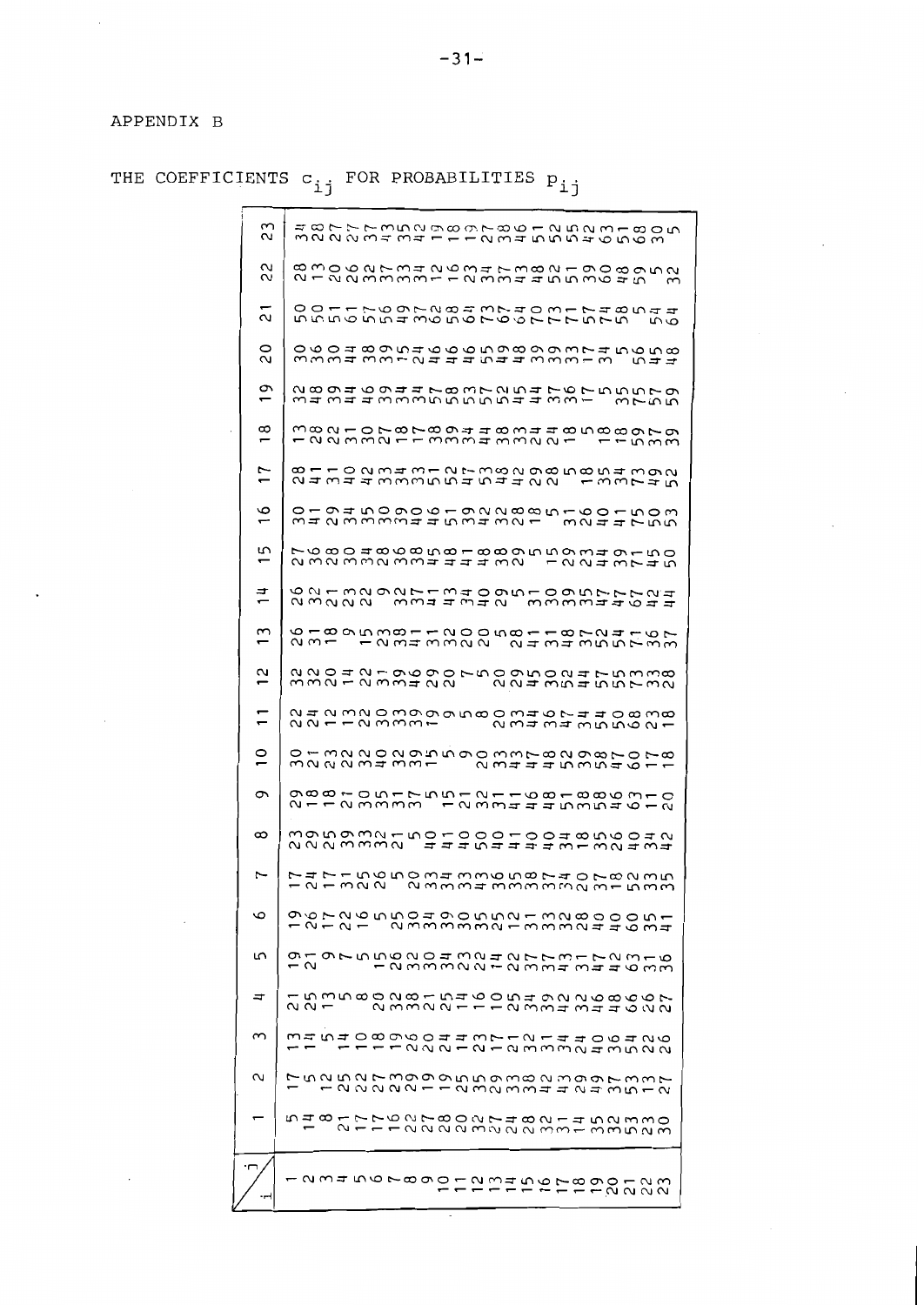APPENDIX B

THE COEFFICIENTS C<sub>ij</sub> FOR PROBABILITIES P<sub>ij</sub>

 $\frac{2}{3}$ 

 $\tilde{\Omega}$ 

.<br>د

 $\overline{c}$ 

 $\overline{2}$ 

 $\infty$ 

 $17$ 

 $\mathbf 0$ 

5

 $1<sup>4</sup>$ 

 $\sim$ 

 $\overline{\mathbf{c}}$ 

 $\overline{1}$ 

 $\circ$ 

 $\sigma$ 

 $\infty$ 

 $\overline{ }$ 

 $\circ$ 

5

 $\Rightarrow$ 

 $\sim$ 

 $\sim$ 

Ļ

maayama ma coccomado mado maga m

21 - 22 20 mm mm - - 2 mw - 4 mw - 5 0 mw - 5 0 mw - 5 0 mw - 5 0 mw - 5 0 mw - 5 0 mw - 5 0 mw - 5 0 mw - 5 0 m

ちらちょうちょうらちゅうしゅってていちてる ちらりの117697284374081748544

MWWI WWL NIII NII MWWL WA NII

343443335555544331 375528040044783725476755510

naar-oraraannaminaa rraam<br>-aan-oraraannaminaa rraam

24 344 33355454422 13374581102343127382985854 392

MINWWWWIINWIWNT WNIINWW

FUALLAMOOFFATA MOORALAMOORAT<br>LAMOOFFATA MOORALAMOO

22112339999580346744083821

322231131 2311 19298707801322202955 20331 182981079

21123333 1233444535461298810517551211681886310

NNN WWWN 11140111110100101

りとり - ころをるとり - ころせいていちーてとるーるとうりつしょう - ころろろうちょう こうせいけんしょう

221 23322111233414022

1115 1222200112212212212222

 $\begin{array}{l} \mathrel{\mathop:}= \quad \mathrel{\mathop:}= \quad \mathrel{\mathop:}= \quad \mathrel{\mathop:}= \quad \mathrel{\mathop:}= \quad \mathrel{\mathop:}= \quad \mathrel{\mathop:}= \quad \mathrel{\mathop:}= \quad \mathrel{\mathop:}= \quad \mathrel{\mathop:}= \quad \mathrel{\mathop:}= \quad \mathrel{\mathop:}= \quad \mathrel{\mathop:}= \quad \mathrel{\mathop:}= \quad \mathrel{\mathop:}= \quad \mathrel{\mathop:}= \quad \mathrel{\mathop:}= \quad \mathrel{\mathop:}= \quad \mathrel{\mathop:}= \quad \mathrel{\mathop:}= \quad \mathrel{\mathop:}= \quad \mathrel$ 

548 ひりりもらえて80274821452530

<u>- 2345678900234507890123</u>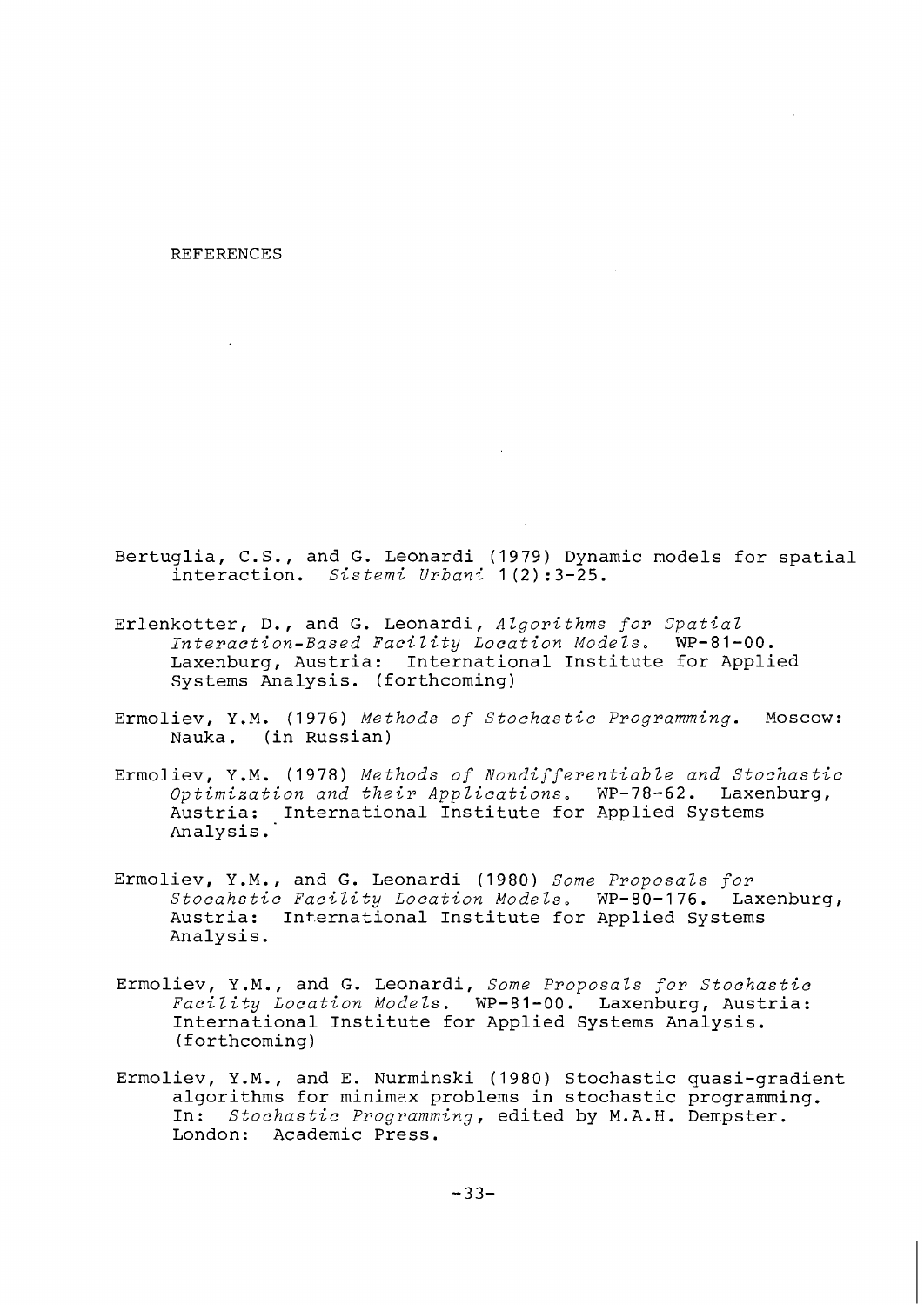REFERENCES

Bertuglia, C.S., and G. Leonardi (1979) Dynamic models for spatial interaction. *Sistemi Urband* 1(2):3-25.

- Erlenkotter, D., and G. Leonardi, *Algorithms for Spatial Interaction-Based Facility Location Models.* WP-81-00. Laxenburg, Austria: International Institute for Applied Systems Analysis. (forthcoming)
- Ermoliev, Y.M. (1976) *Methods of Stochastic ~rogramming.* Moscow: Nauka. (in Russian)
- Ermoliev, Y.M. (1978) *Methods of Nondifferentiable and Stochastic Optimization and their Applications.* WP-78-62. Laxenburg, Austria: International Institute for Applied Systems Analysis. '
- Ermoliev, Y.M., and G. Leonardi (1980) *Some Proposals for Stocahstic Facility Location Models.* WP-80-176. Laxenburg, Austria: International Institute for Applied Systems Analysis.
- Ermoliev, Y.M., and G. Leonardi, *Some Proposals for Stochastic Facility Location Models.* WP-81-00. Laxenburg, Austria: International Institute for Applied Systems Analysis. (forthcoming)
- Ermoliev, Y.M., and E. Nurminski (1980) Stochastic quasi-gradient algorithms for minimax problems in stochastic programming. In: *Stochastic Programming,* edited by M.A.H. Dempster. London: Academic Press.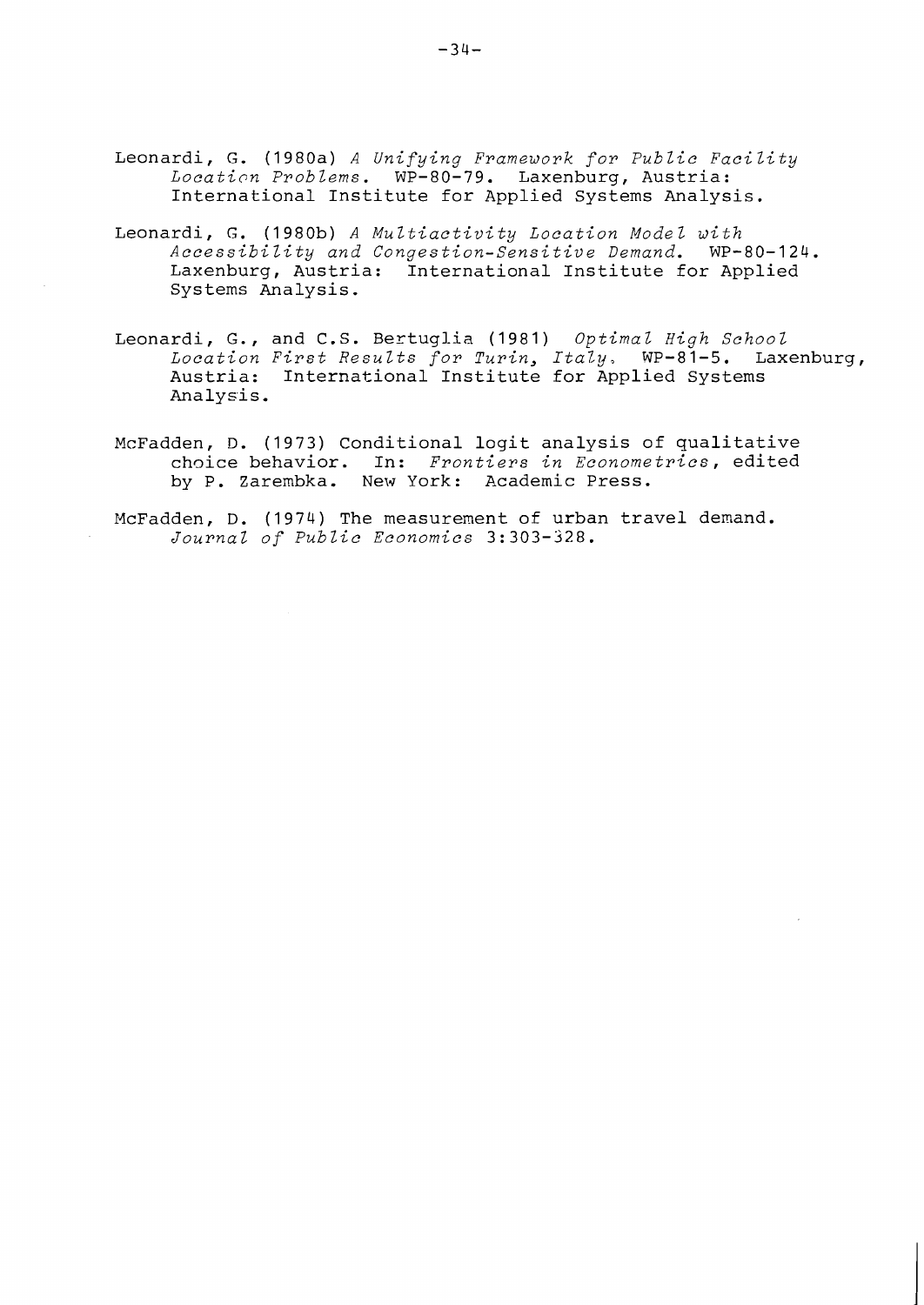- Leonardi, G. (1980a) *A Unifying Framework for public Facility*  Location Problems. WP-80-79. Laxenburg, Austria: International Institute for Applied Systems Analysis.
- Leonardi, G. (1980b) *A Multiactivity Location Model with Accessibility and Congestion-Sensitive Demand.* WP-80-124. Laxenburg, Austria: International Institute for Applied Systems Analysis.
- Leonardi, G., and C.S. Bertugl-ia (1981) *Optimal High School Location First Results for Turin, Italy,* WP-81-5. Laxenburg, Austria: International Institute for Applied Systems Analysis.
- McFadden, D. (1973) Conditional logit analysis of qualitative choice behavior. In: *Frontiers in Econometrics,* edited by P. Zarembka. New York: Academic Press.
- McFadden, D. (1974) The measurement of urban travel demand. *Journal of Public Economics* 3: 303-328.